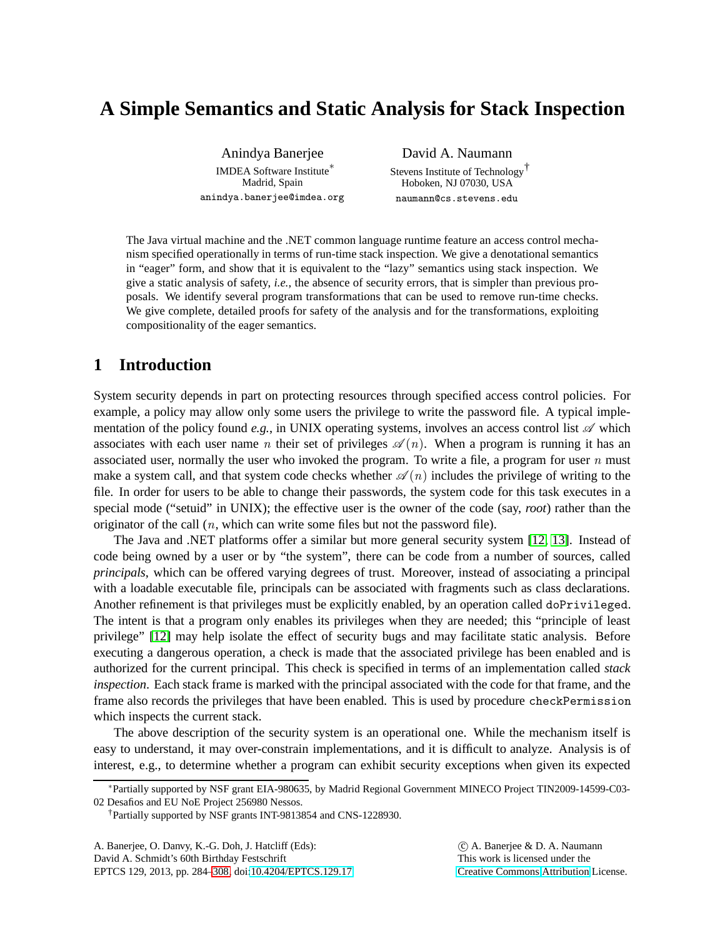# **A Simple Semantics and Static Analysis for Stack Inspection**

Anindya Banerjee IMDEA Software Institute ∗ Madrid, Spain anindya.banerjee@imdea.org

David A. Naumann Stevens Institute of Technology † Hoboken, NJ 07030, USA naumann@cs.stevens.edu

The Java virtual machine and the .NET common language runtime feature an access control mechanism specified operationally in terms of run-time stack inspection. We give a denotational semantics in "eager" form, and show that it is equivalent to the "lazy" semantics using stack inspection. We give a static analysis of safety, *i.e.*, the absence of security errors, that is simpler than previous proposals. We identify several program transformations that can be used to remove run-time checks. We give complete, detailed proofs for safety of the analysis and for the transformations, exploiting compositionality of the eager semantics.

### **1 Introduction**

System security depends in part on protecting resources through specified access control policies. For example, a policy may allow only some users the privilege to write the password file. A typical implementation of the policy found  $e.g.,$  in UNIX operating systems, involves an access control list  $\mathscr A$  which associates with each user name *n* their set of privileges  $\mathscr{A}(n)$ . When a program is running it has an associated user, normally the user who invoked the program. To write a file, a program for user  $n$  must make a system call, and that system code checks whether  $\mathscr{A}(n)$  includes the privilege of writing to the file. In order for users to be able to change their passwords, the system code for this task executes in a special mode ("setuid" in UNIX); the effective user is the owner of the code (say, *root*) rather than the originator of the call  $(n,$  which can write some files but not the password file).

The Java and .NET platforms offer a similar but more general security system [\[12,](#page-24-1) [13\]](#page-24-2). Instead of code being owned by a user or by "the system", there can be code from a number of sources, called *principals*, which can be offered varying degrees of trust. Moreover, instead of associating a principal with a loadable executable file, principals can be associated with fragments such as class declarations. Another refinement is that privileges must be explicitly enabled, by an operation called doPrivileged. The intent is that a program only enables its privileges when they are needed; this "principle of least privilege" [\[12\]](#page-24-1) may help isolate the effect of security bugs and may facilitate static analysis. Before executing a dangerous operation, a check is made that the associated privilege has been enabled and is authorized for the current principal. This check is specified in terms of an implementation called *stack inspection*. Each stack frame is marked with the principal associated with the code for that frame, and the frame also records the privileges that have been enabled. This is used by procedure checkPermission which inspects the current stack.

The above description of the security system is an operational one. While the mechanism itself is easy to understand, it may over-constrain implementations, and it is difficult to analyze. Analysis is of interest, e.g., to determine whether a program can exhibit security exceptions when given its expected

A. Banerjee, O. Danvy, K.-G. Doh, J. Hatcliff (Eds): David A. Schmidt's 60th Birthday Festschrift EPTCS 129, 2013, pp. 284[–308,](#page-24-0) doi[:10.4204/EPTCS.129.17](http://dx.doi.org/10.4204/EPTCS.129.17)

 c A. Banerjee & D. A. Naumann This work is licensed under the [Creative Commons](http://creativecommons.org) [Attribution](http://creativecommons.org/licenses/by/3.0/) License.

<sup>∗</sup>Partially supported by NSF grant EIA-980635, by Madrid Regional Government MINECO Project TIN2009-14599-C03- 02 Desafios and EU NoE Project 256980 Nessos.

<sup>†</sup>Partially supported by NSF grants INT-9813854 and CNS-1228930.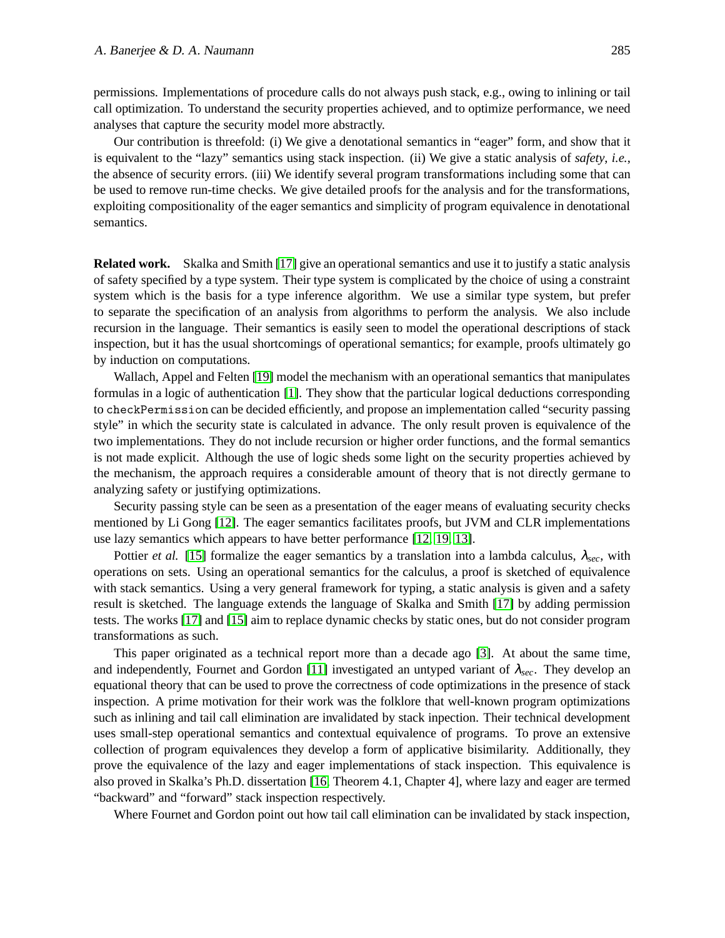permissions. Implementations of procedure calls do not always push stack, e.g., owing to inlining or tail call optimization. To understand the security properties achieved, and to optimize performance, we need analyses that capture the security model more abstractly.

Our contribution is threefold: (i) We give a denotational semantics in "eager" form, and show that it is equivalent to the "lazy" semantics using stack inspection. (ii) We give a static analysis of *safety*, *i.e.*, the absence of security errors. (iii) We identify several program transformations including some that can be used to remove run-time checks. We give detailed proofs for the analysis and for the transformations, exploiting compositionality of the eager semantics and simplicity of program equivalence in denotational semantics.

**Related work.** Skalka and Smith [\[17\]](#page-24-3) give an operational semantics and use it to justify a static analysis of safety specified by a type system. Their type system is complicated by the choice of using a constraint system which is the basis for a type inference algorithm. We use a similar type system, but prefer to separate the specification of an analysis from algorithms to perform the analysis. We also include recursion in the language. Their semantics is easily seen to model the operational descriptions of stack inspection, but it has the usual shortcomings of operational semantics; for example, proofs ultimately go by induction on computations.

Wallach, Appel and Felten [\[19\]](#page-24-4) model the mechanism with an operational semantics that manipulates formulas in a logic of authentication [\[1\]](#page-23-0). They show that the particular logical deductions corresponding to checkPermission can be decided efficiently, and propose an implementation called "security passing style" in which the security state is calculated in advance. The only result proven is equivalence of the two implementations. They do not include recursion or higher order functions, and the formal semantics is not made explicit. Although the use of logic sheds some light on the security properties achieved by the mechanism, the approach requires a considerable amount of theory that is not directly germane to analyzing safety or justifying optimizations.

Security passing style can be seen as a presentation of the eager means of evaluating security checks mentioned by Li Gong [\[12\]](#page-24-1). The eager semantics facilitates proofs, but JVM and CLR implementations use lazy semantics which appears to have better performance [\[12,](#page-24-1) [19,](#page-24-4) [13\]](#page-24-2).

Pottier *et al.* [\[15\]](#page-24-5) formalize the eager semantics by a translation into a lambda calculus,  $\lambda_{\text{sec}}$ , with operations on sets. Using an operational semantics for the calculus, a proof is sketched of equivalence with stack semantics. Using a very general framework for typing, a static analysis is given and a safety result is sketched. The language extends the language of Skalka and Smith [\[17\]](#page-24-3) by adding permission tests. The works [\[17\]](#page-24-3) and [\[15\]](#page-24-5) aim to replace dynamic checks by static ones, but do not consider program transformations as such.

This paper originated as a technical report more than a decade ago [\[3\]](#page-24-6). At about the same time, and independently, Fournet and Gordon [\[11\]](#page-24-7) investigated an untyped variant of  $\lambda_{\text{sec}}$ . They develop an equational theory that can be used to prove the correctness of code optimizations in the presence of stack inspection. A prime motivation for their work was the folklore that well-known program optimizations such as inlining and tail call elimination are invalidated by stack inpection. Their technical development uses small-step operational semantics and contextual equivalence of programs. To prove an extensive collection of program equivalences they develop a form of applicative bisimilarity. Additionally, they prove the equivalence of the lazy and eager implementations of stack inspection. This equivalence is also proved in Skalka's Ph.D. dissertation [\[16,](#page-24-8) Theorem 4.1, Chapter 4], where lazy and eager are termed "backward" and "forward" stack inspection respectively.

Where Fournet and Gordon point out how tail call elimination can be invalidated by stack inspection,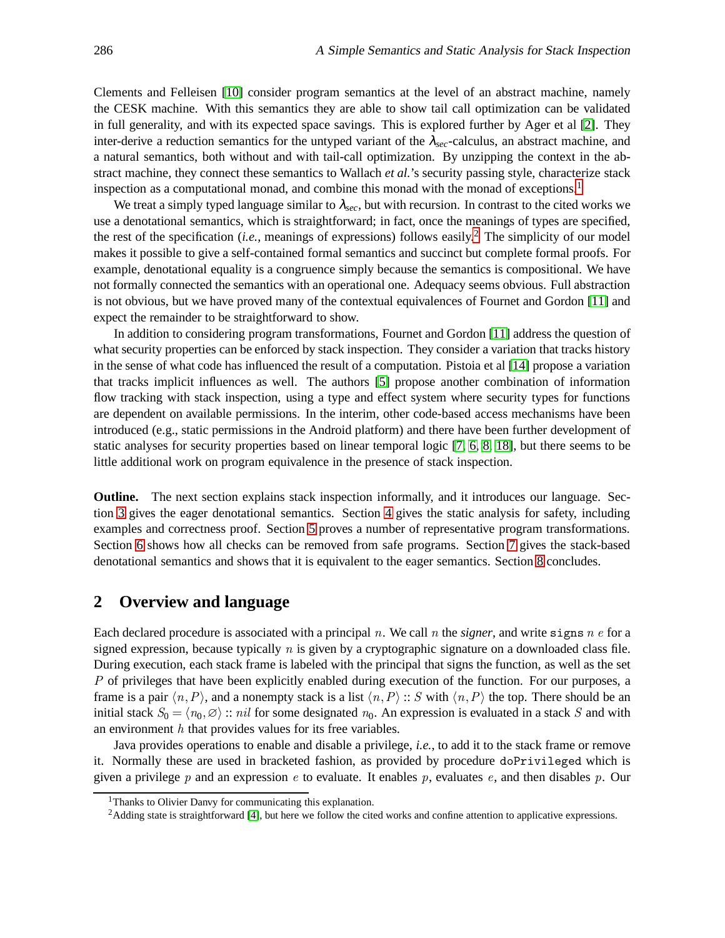Clements and Felleisen [\[10\]](#page-24-9) consider program semantics at the level of an abstract machine, namely the CESK machine. With this semantics they are able to show tail call optimization can be validated in full generality, and with its expected space savings. This is explored further by Ager et al [\[2\]](#page-23-1). They inter-derive a reduction semantics for the untyped variant of the <sup>λ</sup>*sec*-calculus, an abstract machine, and a natural semantics, both without and with tail-call optimization. By unzipping the context in the abstract machine, they connect these semantics to Wallach *et al.*'s security passing style, characterize stack inspection as a computational monad, and combine this monad with the monad of exceptions.<sup>[1](#page-2-0)</sup>

We treat a simply typed language similar to  $\lambda_{\text{sec}}$ , but with recursion. In contrast to the cited works we use a denotational semantics, which is straightforward; in fact, once the meanings of types are specified, the rest of the specification (*i.e.*, meanings of expressions) follows easily.<sup>[2](#page-2-1)</sup> The simplicity of our model makes it possible to give a self-contained formal semantics and succinct but complete formal proofs. For example, denotational equality is a congruence simply because the semantics is compositional. We have not formally connected the semantics with an operational one. Adequacy seems obvious. Full abstraction is not obvious, but we have proved many of the contextual equivalences of Fournet and Gordon [\[11\]](#page-24-7) and expect the remainder to be straightforward to show.

In addition to considering program transformations, Fournet and Gordon [\[11\]](#page-24-7) address the question of what security properties can be enforced by stack inspection. They consider a variation that tracks history in the sense of what code has influenced the result of a computation. Pistoia et al [\[14\]](#page-24-10) propose a variation that tracks implicit influences as well. The authors [\[5\]](#page-24-11) propose another combination of information flow tracking with stack inspection, using a type and effect system where security types for functions are dependent on available permissions. In the interim, other code-based access mechanisms have been introduced (e.g., static permissions in the Android platform) and there have been further development of static analyses for security properties based on linear temporal logic [\[7,](#page-24-12) [6,](#page-24-13) [8,](#page-24-14) [18\]](#page-24-15), but there seems to be little additional work on program equivalence in the presence of stack inspection.

**Outline.** The next section explains stack inspection informally, and it introduces our language. Section [3](#page-5-0) gives the eager denotational semantics. Section [4](#page-7-0) gives the static analysis for safety, including examples and correctness proof. Section [5](#page-12-0) proves a number of representative program transformations. Section [6](#page-17-0) shows how all checks can be removed from safe programs. Section [7](#page-20-0) gives the stack-based denotational semantics and shows that it is equivalent to the eager semantics. Section [8](#page-23-2) concludes.

### <span id="page-2-2"></span>**2 Overview and language**

Each declared procedure is associated with a principal n. We call n the *signer*, and write signs n e for a signed expression, because typically  $n$  is given by a cryptographic signature on a downloaded class file. During execution, each stack frame is labeled with the principal that signs the function, as well as the set P of privileges that have been explicitly enabled during execution of the function. For our purposes, a frame is a pair  $\langle n,P \rangle$ , and a nonempty stack is a list  $\langle n,P \rangle$  :: S with  $\langle n,P \rangle$  the top. There should be an initial stack  $S_0 = \langle n_0, \emptyset \rangle$  :: *nil* for some designated  $n_0$ . An expression is evaluated in a stack S and with an environment  $h$  that provides values for its free variables.

Java provides operations to enable and disable a privilege, *i.e.*, to add it to the stack frame or remove it. Normally these are used in bracketed fashion, as provided by procedure doPrivileged which is given a privilege p and an expression e to evaluate. It enables p, evaluates e, and then disables p. Our

<sup>&</sup>lt;sup>1</sup>Thanks to Olivier Danvy for communicating this explanation.

<span id="page-2-1"></span><span id="page-2-0"></span><sup>&</sup>lt;sup>2</sup>Adding state is straightforward [\[4\]](#page-24-16), but here we follow the cited works and confine attention to applicative expressions.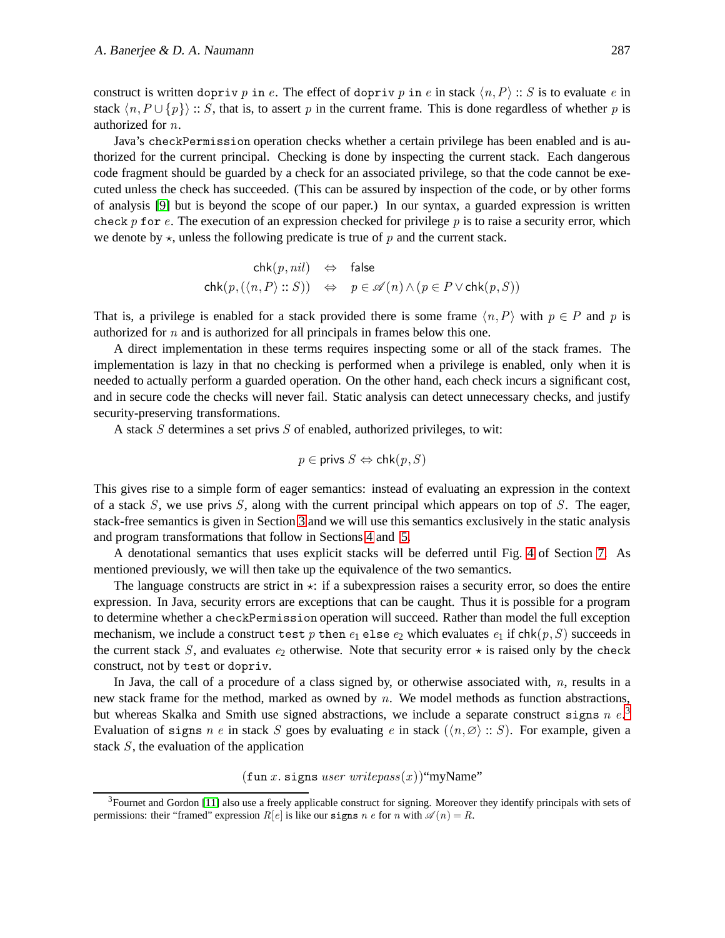construct is written dopriv p in e. The effect of dopriv p in e in stack  $\langle n, P \rangle$  :: S is to evaluate e in stack  $\{n, P \cup \{p\} \}$ : S, that is, to assert p in the current frame. This is done regardless of whether p is authorized for n.

Java's checkPermission operation checks whether a certain privilege has been enabled and is authorized for the current principal. Checking is done by inspecting the current stack. Each dangerous code fragment should be guarded by a check for an associated privilege, so that the code cannot be executed unless the check has succeeded. (This can be assured by inspection of the code, or by other forms of analysis [\[9\]](#page-24-17) but is beyond the scope of our paper.) In our syntax, a guarded expression is written check p for e. The execution of an expression checked for privilege p is to raise a security error, which we denote by  $\star$ , unless the following predicate is true of p and the current stack.

$$
\operatorname{chk}(p, nil) \Leftrightarrow \text{ false}
$$
\n
$$
\operatorname{chk}(p, (\langle n, P \rangle :: S)) \Leftrightarrow p \in \mathscr{A}(n) \land (p \in P \lor \operatorname{chk}(p, S))
$$

That is, a privilege is enabled for a stack provided there is some frame  $\langle n, P \rangle$  with  $p \in P$  and p is authorized for n and is authorized for all principals in frames below this one.

A direct implementation in these terms requires inspecting some or all of the stack frames. The implementation is lazy in that no checking is performed when a privilege is enabled, only when it is needed to actually perform a guarded operation. On the other hand, each check incurs a significant cost, and in secure code the checks will never fail. Static analysis can detect unnecessary checks, and justify security-preserving transformations.

A stack  $S$  determines a set privs  $S$  of enabled, authorized privileges, to wit:

$$
p \in \text{privs } S \Leftrightarrow \text{chk}(p, S)
$$

This gives rise to a simple form of eager semantics: instead of evaluating an expression in the context of a stack  $S$ , we use privs  $S$ , along with the current principal which appears on top of  $S$ . The eager, stack-free semantics is given in Section [3](#page-5-0) and we will use this semantics exclusively in the static analysis and program transformations that follow in Sections [4](#page-7-0) and [5.](#page-12-0)

A denotational semantics that uses explicit stacks will be deferred until Fig. [4](#page-21-0) of Section [7.](#page-20-0) As mentioned previously, we will then take up the equivalence of the two semantics.

The language constructs are strict in  $\star$ : if a subexpression raises a security error, so does the entire expression. In Java, security errors are exceptions that can be caught. Thus it is possible for a program to determine whether a checkPermission operation will succeed. Rather than model the full exception mechanism, we include a construct test p then  $e_1$  else  $e_2$  which evaluates  $e_1$  if  $\text{chk}(p, S)$  succeeds in the current stack S, and evaluates  $e_2$  otherwise. Note that security error  $\star$  is raised only by the check construct, not by test or dopriv.

In Java, the call of a procedure of a class signed by, or otherwise associated with,  $n$ , results in a new stack frame for the method, marked as owned by  $n$ . We model methods as function abstractions, but whereas Skalka and Smith use signed abstractions, we include a separate construct signs  $n e^{3}$  $n e^{3}$  $n e^{3}$ Evaluation of signs n e in stack S goes by evaluating e in stack  $(\langle n, \emptyset \rangle : : S)$ . For example, given a stack S, the evaluation of the application

 $(\text{fun } x. \text{ signs } user \text{ write } pass(x))$ "myName"

<span id="page-3-0"></span><sup>&</sup>lt;sup>3</sup>Fournet and Gordon [\[11\]](#page-24-7) also use a freely applicable construct for signing. Moreover they identify principals with sets of permissions: their "framed" expression  $R[e]$  is like our signs n e for n with  $\mathscr{A}(n) = R$ .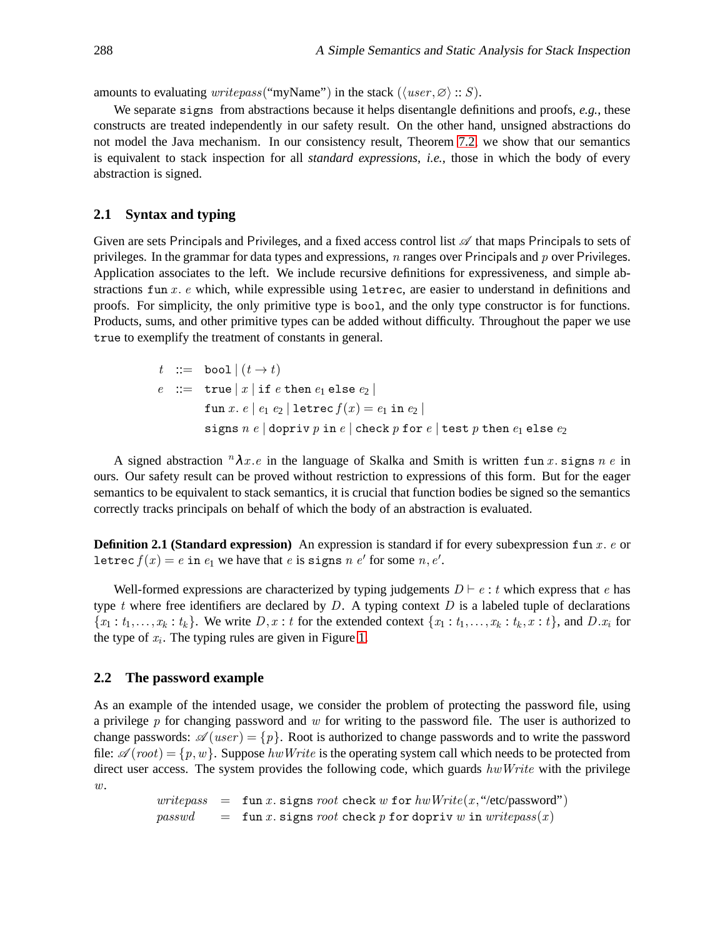amounts to evaluating *writepass*("myName") in the stack ( $\langle user, \emptyset \rangle :: S$ ).

We separate signs from abstractions because it helps disentangle definitions and proofs, *e.g.*, these constructs are treated independently in our safety result. On the other hand, unsigned abstractions do not model the Java mechanism. In our consistency result, Theorem [7.2,](#page-20-1) we show that our semantics is equivalent to stack inspection for all *standard expressions*, *i.e.*, those in which the body of every abstraction is signed.

#### **2.1 Syntax and typing**

Given are sets Principals and Privileges, and a fixed access control list  $\mathscr A$  that maps Principals to sets of privileges. In the grammar for data types and expressions, n ranges over Principals and p over Privileges. Application associates to the left. We include recursive definitions for expressiveness, and simple abstractions fun  $x$ . e which, while expressible using letrec, are easier to understand in definitions and proofs. For simplicity, the only primitive type is bool, and the only type constructor is for functions. Products, sums, and other primitive types can be added without difficulty. Throughout the paper we use true to exemplify the treatment of constants in general.

$$
t ::= \text{bool} | (t \rightarrow t)
$$
  
\n
$$
e ::= \text{true} | x | \text{if } e \text{ then } e_1 \text{ else } e_2 |
$$
  
\n
$$
\text{fun } x. e | e_1 e_2 | \text{letrec } f(x) = e_1 \text{ in } e_2 |
$$
  
\n
$$
\text{signs } n e | \text{dopriv } p \text{ in } e | \text{check } p \text{ for } e | \text{test } p \text{ then } e_1 \text{ else } e_2
$$

A signed abstraction  ${}^n\lambda x \cdot e$  in the language of Skalka and Smith is written fun x. signs  $n \cdot e$  in ours. Our safety result can be proved without restriction to expressions of this form. But for the eager semantics to be equivalent to stack semantics, it is crucial that function bodies be signed so the semantics correctly tracks principals on behalf of which the body of an abstraction is evaluated.

<span id="page-4-1"></span>**Definition 2.1 (Standard expression)** An expression is standard if for every subexpression fun x. e or letrec  $f(x) = e$  in  $e_1$  we have that  $e$  is signs  $n \cdot e'$  for some  $n, e'.$ 

Well-formed expressions are characterized by typing judgements  $D \vdash e : t$  which express that e has type t where free identifiers are declared by  $D$ . A typing context  $D$  is a labeled tuple of declarations  ${x_1 : t_1, \ldots, x_k : t_k}$ . We write  $D, x : t$  for the extended context  ${x_1 : t_1, \ldots, x_k : t_k, x : t}$ , and  $D.x_i$  for the type of  $x_i$ . The typing rules are given in Figure [1.](#page-5-1)

#### <span id="page-4-0"></span>**2.2 The password example**

As an example of the intended usage, we consider the problem of protecting the password file, using a privilege  $p$  for changing password and  $w$  for writing to the password file. The user is authorized to change passwords:  $\mathscr{A}(user) = \{p\}$ . Root is authorized to change passwords and to write the password file:  $\mathscr{A}(root) = \{p, w\}$ . Suppose hw Write is the operating system call which needs to be protected from direct user access. The system provides the following code, which guards  $hwWrite$  with the privilege  $w$ .

> $writepass = \text{fun } x \text{. signs root check } w \text{ for } hwWrite(x, "/etc/password")$  $passwd = \text{fun } x.$  signs root check p for dopriv w in write  $pass(x)$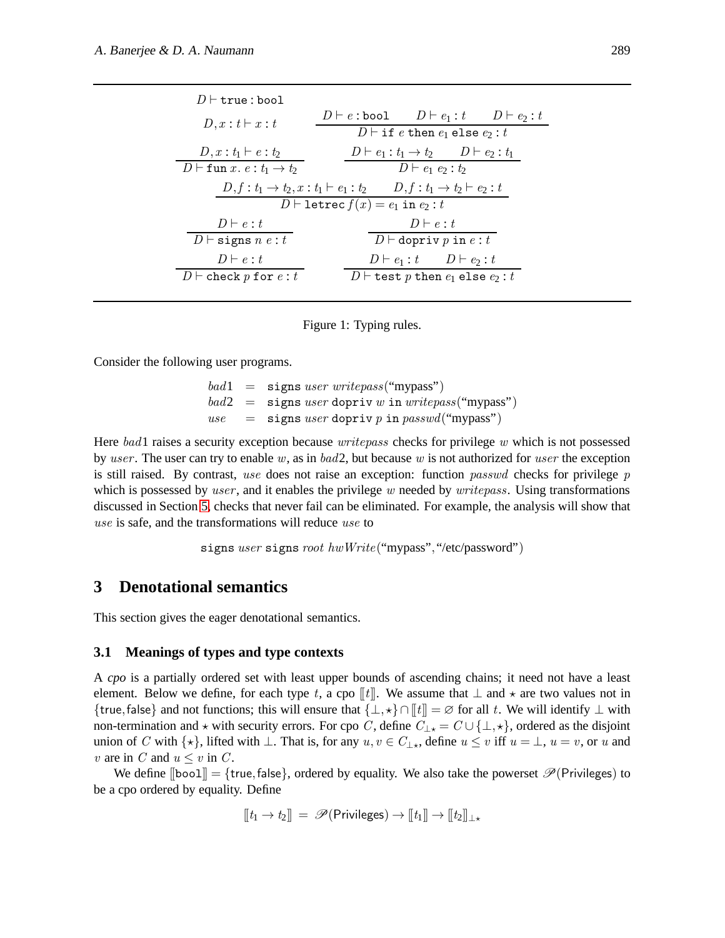| $D \vdash$ true : bool                                                             |                                                                       |  |  |  |
|------------------------------------------------------------------------------------|-----------------------------------------------------------------------|--|--|--|
| $D, x : t \vdash x : t$                                                            | $D \vdash e : \texttt{bool}$ $D \vdash e_1 : t$ $D \vdash e_2 : t$    |  |  |  |
|                                                                                    | $D \vdash \texttt{if } e \texttt{ then } e_1 \texttt{ else } e_2 : t$ |  |  |  |
| $D, x : t_1 \vdash e : t_2$                                                        | $D \vdash e_1 : t_1 \rightarrow t_2$ $D \vdash e_2 : t_1$             |  |  |  |
| $D \vdash$ fun $x. e : t_1 \rightarrow t_2$                                        | $D \vdash e_1 \; e_2 : t_2$                                           |  |  |  |
| $D, f: t_1 \to t_2, x: t_1 \vdash e_1: t_2 \qquad D, f: t_1 \to t_2 \vdash e_2: t$ |                                                                       |  |  |  |
| $D \vdash$ letrec $f(x) = e_1$ in $e_2 : t$                                        |                                                                       |  |  |  |
| $D \vdash e : t$                                                                   | $D \vdash e : t$                                                      |  |  |  |
| $D \vdash$ signs $n \; e : t$                                                      | $D \vdash$ dopriv p in e: t                                           |  |  |  |
| $D \vdash e : t$                                                                   | $D \vdash e_1 : t \qquad D \vdash e_2 : t$                            |  |  |  |
| $D\vdash$ check p for $e:t$                                                        | $D\vdash$ test p then $e_1$ else $e_2:t$                              |  |  |  |

<span id="page-5-1"></span>Figure 1: Typing rules.

Consider the following user programs.

$$
bad1 = signs user writepass("mypass")
$$
  
\n
$$
bad2 = signs user dopriv w in writepass("mypass")
$$
  
\n
$$
use = signs user dopriv p in passwd("mypass")
$$

Here bad1 raises a security exception because *writepass* checks for privilege w which is not possessed by user. The user can try to enable w, as in bad2, but because w is not authorized for user the exception is still raised. By contrast, use does not raise an exception: function *passwd* checks for privilege  $p$ which is possessed by user, and it enables the privilege w needed by  $writepass$ . Using transformations discussed in Section [5,](#page-12-0) checks that never fail can be eliminated. For example, the analysis will show that use is safe, and the transformations will reduce use to

```
signs user signs root hwWrite("mypass", "/etc/password")
```
## <span id="page-5-0"></span>**3 Denotational semantics**

This section gives the eager denotational semantics.

#### **3.1 Meanings of types and type contexts**

A *cpo* is a partially ordered set with least upper bounds of ascending chains; it need not have a least element. Below we define, for each type t, a cpo  $[[t]]$ . We assume that  $\perp$  and  $\star$  are two values not in {true, false} and not functions; this will ensure that  $\{\perp, \star\} \cap [t] = \emptyset$  for all t. We will identify  $\perp$  with non-termination and  $\star$  with security errors. For cpo C, define  $C_{\perp\star} = C \cup \{\perp, \star\}$ , ordered as the disjoint union of C with  $\{\star\}$ , lifted with  $\bot$ . That is, for any  $u, v \in C_{\bot\star}$ , define  $u \leq v$  iff  $u = \bot$ ,  $u = v$ , or u and v are in C and  $u \leq v$  in C.

We define  $[\text{bool}] = \{\text{true}, \text{false}\},$  ordered by equality. We also take the powerset  $\mathcal{P}(\text{Privileges})$  to be a cpo ordered by equality. Define

$$
[\![t_1\rightarrow t_2]\!] \ = \ \mathscr{P}(\mathsf{Privateges}) \rightarrow [\![t_1]\!] \rightarrow [\![t_2]\!]_{\perp \star}
$$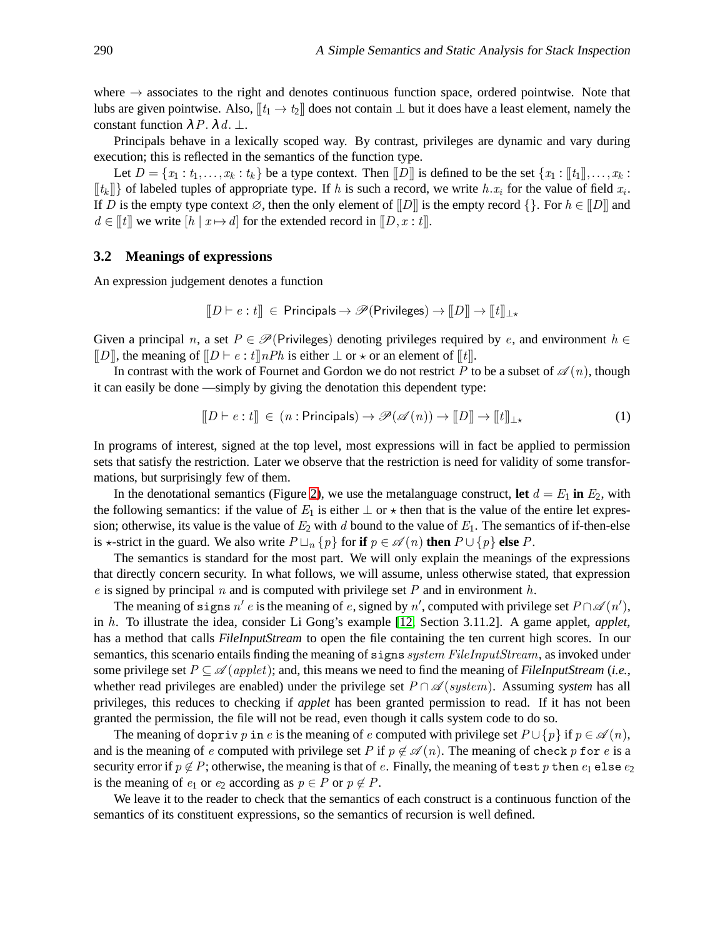where  $\rightarrow$  associates to the right and denotes continuous function space, ordered pointwise. Note that lubs are given pointwise. Also,  $[[t_1 \to t_2]]$  does not contain  $\perp$  but it does have a least element, namely the constant function  $\lambda P. \lambda d. \perp.$ 

Principals behave in a lexically scoped way. By contrast, privileges are dynamic and vary during execution; this is reflected in the semantics of the function type.

Let  $D = \{x_1 : t_1, \ldots, x_k : t_k\}$  be a type context. Then  $||D||$  is defined to be the set  $\{x_1 : ||t_1||, \ldots, x_k : t_k\}$  $[[t_k]]$  of labeled tuples of appropriate type. If h is such a record, we write h. $x_i$  for the value of field  $x_i$ . If D is the empty type context  $\emptyset$ , then the only element of  $\llbracket D \rrbracket$  is the empty record  $\llbracket \cdot \rrbracket$ . For  $h \in \llbracket D \rrbracket$  and  $d \in [t]$  we write  $[h \mid x \mapsto d]$  for the extended record in  $[D, x : t]$ .

#### <span id="page-6-1"></span>**3.2 Meanings of expressions**

An expression judgement denotes a function

$$
[\![D \vdash e : t]\!] \ \in \text{Principals} \rightarrow \mathscr{P}(\text{Privileges}) \rightarrow [\![D]\!] \rightarrow [\![t]\!]_{\bot \star}
$$

Given a principal n, a set  $P \in \mathscr{P}$ (Privileges) denoting privileges required by e, and environment  $h \in$  $[[D]]$ , the meaning of  $[[D \vdash e : t]]nPh$  is either  $\bot$  or  $\star$  or an element of  $[[t]]$ .

In contrast with the work of Fournet and Gordon we do not restrict P to be a subset of  $\mathscr{A}(n)$ , though it can easily be done —simply by giving the denotation this dependent type:

<span id="page-6-0"></span>
$$
[\![D \vdash e : t]\!] \in (n : \text{Principals}) \to \mathscr{P}(\mathscr{A}(n)) \to [\![D]\!] \to [\![t]\!]_{\perp \star}
$$
 (1)

In programs of interest, signed at the top level, most expressions will in fact be applied to permission sets that satisfy the restriction. Later we observe that the restriction is need for validity of some transformations, but surprisingly few of them.

In the denotational semantics (Figure [2\)](#page-7-1), we use the metalanguage construct, let  $d = E_1$  in  $E_2$ , with the following semantics: if the value of  $E_1$  is either  $\perp$  or  $\star$  then that is the value of the entire let expression; otherwise, its value is the value of  $E_2$  with d bound to the value of  $E_1$ . The semantics of if-then-else is  $\star$ -strict in the guard. We also write  $P \sqcup_n \{p\}$  for **if**  $p \in \mathscr{A}(n)$  **then**  $P \cup \{p\}$  **else**  $P$ .

The semantics is standard for the most part. We will only explain the meanings of the expressions that directly concern security. In what follows, we will assume, unless otherwise stated, that expression e is signed by principal n and is computed with privilege set P and in environment h.

The meaning of signs  $n' e$  is the meaning of e, signed by  $n'$ , computed with privilege set  $P \cap \mathscr{A}(n')$ , in h. To illustrate the idea, consider Li Gong's example [\[12,](#page-24-1) Section 3.11.2]. A game applet, *applet*, has a method that calls *FileInputStream* to open the file containing the ten current high scores. In our semantics, this scenario entails finding the meaning of signs *system FileInputStream*, as invoked under some privilege set  $P \subseteq \mathcal{A}$  (*applet*); and, this means we need to find the meaning of *FileInputStream* (*i.e.*, whether read privileges are enabled) under the privilege set  $P \cap \mathscr{A}(system)$ . Assuming *system* has all privileges, this reduces to checking if *applet* has been granted permission to read. If it has not been granted the permission, the file will not be read, even though it calls system code to do so.

The meaning of dopriv p in e is the meaning of e computed with privilege set  $P \cup \{p\}$  if  $p \in \mathcal{A}(n)$ , and is the meaning of e computed with privilege set P if  $p \notin \mathscr{A}(n)$ . The meaning of check p for e is a security error if  $p \notin P$ ; otherwise, the meaning is that of e. Finally, the meaning of test p then  $e_1$  else  $e_2$ is the meaning of  $e_1$  or  $e_2$  according as  $p \in P$  or  $p \notin P$ .

We leave it to the reader to check that the semantics of each construct is a continuous function of the semantics of its constituent expressions, so the semantics of recursion is well defined.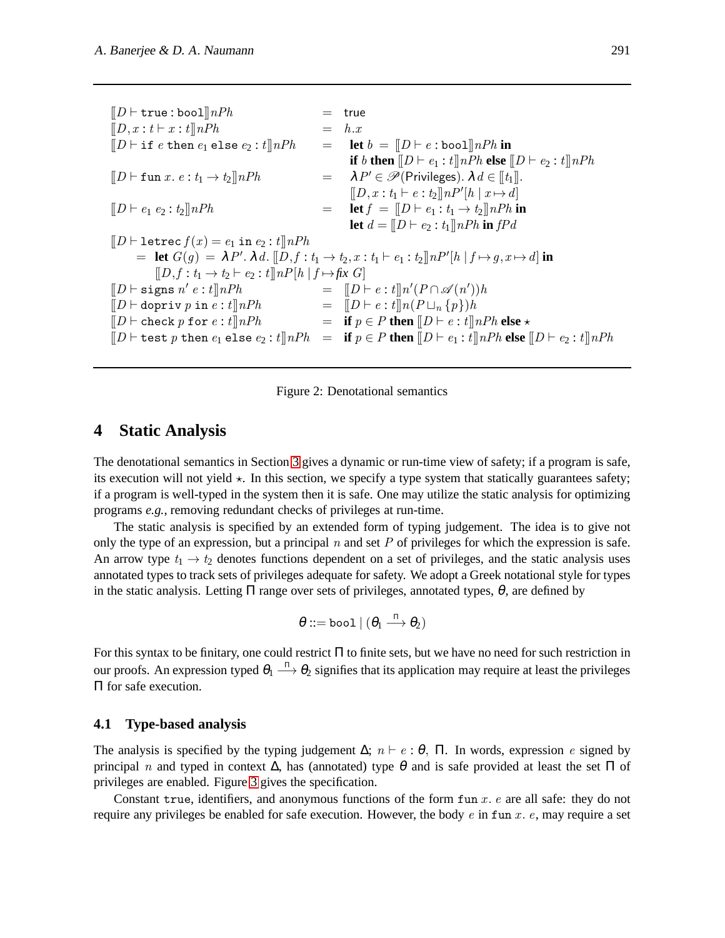$[|D \vdash \texttt{true} : \texttt{bool}] |nPh$  = true  $[[D, x : t \vdash x : t] \cap Ph$  = h.x  $[[D \vdash \texttt{if } e \texttt{ then } e_1 \texttt{ else } e_2 : t] \] nPh = \texttt{let } b = [[D \vdash e : \texttt{bool}] \] nPh \texttt{ in}$ **if** *b* **then**  $[|D \vdash e_1 : t]|nPh$  **else**  $[|D \vdash e_2 : t]|nPh$  $[|D \vdash \texttt{fun} x.\ e:\mathit{t}_1 \rightarrow \mathit{t}_2]|nPh$  $= \lambda P' \in \mathscr{P}(\text{Privileges}). \lambda d \in [t_1].$  $[[D, x: t_1 \vdash e: t_2]] n P'[h | x \mapsto d]$  $[|D \vdash e_1 \ e_2 : t_2] \cap Ph$  = **let**  $f = [|D \vdash e_1 : t_1 \to t_2] \cap Ph$  **in let**  $d = [D \vdash e_2 : t_1] \, nPh$  **in**  $fPd$  $[|D \vdash$  letrec  $f(x) = e_1$  in  $e_2 : t]$  nPh  $=$  **let**  $G(g) = \lambda P'. \lambda d. \llbracket D, f : t_1 \to t_2, x : t_1 \vdash e_1 : t_2 \rrbracket n P'[h | f \mapsto g, x \mapsto d]$  in  $[[D, f: t_1 \rightarrow t_2 \vdash e_2 : t] \parallel nP[h \mid f \mapsto f\& G]$  $[D \vdash \texttt{signs} \; n' \; e : t] \; nPh$  =  $[D \vdash e : t] \; n'(P \cap \mathscr{A}(n'))h$  $[|D \vdash$  dopriv p in  $e : t] \upharpoonright nh$  =  $[|D \vdash e : t] \upharpoonright n(P \sqcup_n \{p\})h$  $[[D \vdash \texttt{check}\ p\ \texttt{for}\ e:t]]nPh \quad \qquad \qquad = \quad \textbf{if}\ p \in P\ \textbf{then}\ [[D \vdash e:t]]nPh\ \textbf{else} \star$  $[CD \vdash \texttt{test } p \texttt{ then } e_1 \texttt{ else } e_2 : t] \cap Ph = \textbf{if } p \in P \textbf{ then } [LD \vdash e_1 : t] \cap Ph \textbf{ else } [LD \vdash e_2 : t] \cap Ph$ 

<span id="page-7-1"></span>Figure 2: Denotational semantics

### <span id="page-7-0"></span>**4 Static Analysis**

The denotational semantics in Section [3](#page-5-0) gives a dynamic or run-time view of safety; if a program is safe, its execution will not yield  $\star$ . In this section, we specify a type system that statically guarantees safety; if a program is well-typed in the system then it is safe. One may utilize the static analysis for optimizing programs *e.g.*, removing redundant checks of privileges at run-time.

The static analysis is specified by an extended form of typing judgement. The idea is to give not only the type of an expression, but a principal  $n$  and set  $P$  of privileges for which the expression is safe. An arrow type  $t_1 \rightarrow t_2$  denotes functions dependent on a set of privileges, and the static analysis uses annotated types to track sets of privileges adequate for safety. We adopt a Greek notational style for types in the static analysis. Letting  $\Pi$  range over sets of privileges, annotated types,  $\theta$ , are defined by

$$
\theta ::= \texttt{bool} \ | \ (\theta_1 \overset{\scriptscriptstyle \Pi} \longrightarrow \theta_2)
$$

For this syntax to be finitary, one could restrict Π to finite sets, but we have no need for such restriction in our proofs. An expression typed  $\theta_1 \stackrel{\Pi}{\longrightarrow} \theta_2$  signifies that its application may require at least the privileges Π for safe execution.

#### **4.1 Type-based analysis**

The analysis is specified by the typing judgement  $\Delta$ ;  $n \vdash e : \theta$ .  $\Pi$ . In words, expression e signed by principal n and typed in context  $\Delta$ , has (annotated) type  $\theta$  and is safe provided at least the set  $\Pi$  of privileges are enabled. Figure [3](#page-8-0) gives the specification.

Constant true, identifiers, and anonymous functions of the form  $\text{fun } x$ . e are all safe: they do not require any privileges be enabled for safe execution. However, the body  $e$  in fun  $x$ .  $e$ , may require a set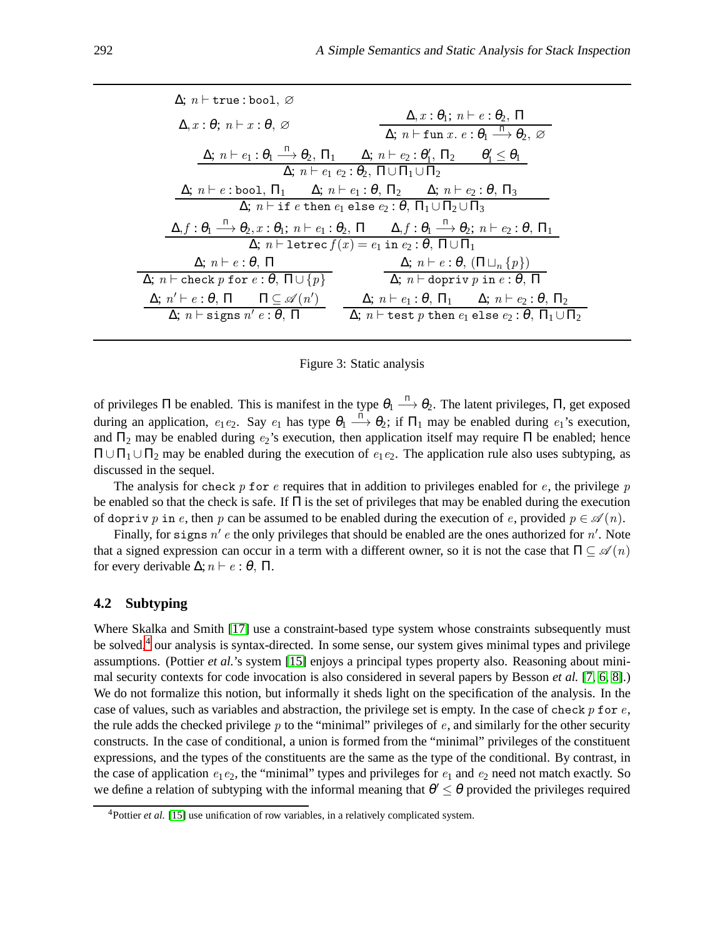| $\Delta$ ; $n \vdash$ true : bool, $\varnothing$                                                                                                                                                                      |  |  |  |
|-----------------------------------------------------------------------------------------------------------------------------------------------------------------------------------------------------------------------|--|--|--|
| $\Delta, x : \theta_1; n \vdash e : \theta_2, \Pi$<br>$\Delta, x : \theta; n \vdash x : \theta, \varnothing$<br>$\Delta$ ; $n \vdash$ fun $x. e : \theta_1 \stackrel{\Pi}{\longrightarrow} \theta_2$ , $\varnothing$  |  |  |  |
| $\Delta; n \vdash e_1 : \theta_1 \stackrel{\text{II}}{\longrightarrow} \theta_2, \Pi_1 \qquad \Delta; n \vdash e_2 : \theta'_1, \Pi_2 \qquad \theta'_1 \leq \theta_1$                                                 |  |  |  |
| $\Delta$ ; $n \vdash e_1 \; e_2 : \theta_2$ , $\Pi \cup \Pi_1 \cup \Pi_2$                                                                                                                                             |  |  |  |
| $\Delta$ ; $n \vdash e$ : bool, $\Pi_1$ $\Delta$ ; $n \vdash e_1 : \theta$ , $\Pi_2$ $\Delta$ ; $n \vdash e_2 : \theta$ , $\Pi_3$                                                                                     |  |  |  |
| $\Delta$ ; $n \vdash$ if e then $e_1$ else $e_2 : \theta$ , $\Pi_1 \cup \Pi_2 \cup \Pi_3$                                                                                                                             |  |  |  |
| $\Delta, f: \theta_1 \stackrel{\text{II}}{\longrightarrow} \theta_2, x: \theta_1; n \vdash e_1: \theta_2, \Pi \qquad \Delta, f: \theta_1 \stackrel{\text{II}}{\longrightarrow} \theta_2; n \vdash e_2: \theta, \Pi_1$ |  |  |  |
| $\Delta$ ; <i>n</i> $\vdash$ letrec $f(x) = e_1$ in $e_2 : \theta$ , $\Pi \cup \Pi_1$                                                                                                                                 |  |  |  |
| $\Delta; n \vdash e : \theta, (\Pi \sqcup_n \{p\})$<br>$\Delta; n \vdash e : \theta, \Pi$                                                                                                                             |  |  |  |
| $\Delta; n \vdash \text{check } p \text{ for } e : \theta, \Pi \cup \{p\}$<br>$\Delta$ ; $n \vdash$ dopriv p in $e : \theta$ , $\Pi$                                                                                  |  |  |  |
| $\Delta; n' \vdash e : \theta, \Pi \qquad \Pi \subseteq \mathscr{A}(n')$<br>$\Delta; n \vdash e_1 : \theta, \Pi_1 \quad \Delta; n \vdash e_2 : \theta, \Pi_2$                                                         |  |  |  |
| $\Delta$ ; $n \vdash$ signs $n' e : \theta$ , $\Pi$ $\Delta$ ; $n \vdash$ test p then $e_1$ else $e_2 : \theta$ , $\Pi_1 \cup \Pi_2$                                                                                  |  |  |  |

<span id="page-8-0"></span>Figure 3: Static analysis

of privileges  $\Pi$  be enabled. This is manifest in the type  $\theta_1 \stackrel{\Pi}{\longrightarrow} \theta_2$ . The latent privileges,  $\Pi$ , get exposed during an application,  $e_1e_2$ . Say  $e_1$  has type  $\theta_1 \stackrel{\Pi}{\longrightarrow} \theta_2$ ; if  $\Pi_1$  may be enabled during  $e_1$ 's execution, and  $\Pi_2$  may be enabled during  $e_2$ 's execution, then application itself may require  $\Pi$  be enabled; hence  $\Pi$  ∪  $\Pi$ <sub>1</sub> ∪  $\Pi$ <sub>2</sub> may be enabled during the execution of  $e_1e_2$ . The application rule also uses subtyping, as discussed in the sequel.

The analysis for check p for e requires that in addition to privileges enabled for  $e$ , the privilege p be enabled so that the check is safe. If  $\Pi$  is the set of privileges that may be enabled during the execution of dopriv p in e, then p can be assumed to be enabled during the execution of e, provided  $p \in \mathcal{A}(n)$ .

Finally, for signs  $n' e$  the only privileges that should be enabled are the ones authorized for  $n'$ . Note that a signed expression can occur in a term with a different owner, so it is not the case that  $\Pi \subseteq \mathscr{A}(n)$ for every derivable  $\Delta; n \vdash e : \theta$ ,  $\Pi$ .

#### **4.2 Subtyping**

Where Skalka and Smith [\[17\]](#page-24-3) use a constraint-based type system whose constraints subsequently must be solved,<sup>[4](#page-8-1)</sup> our analysis is syntax-directed. In some sense, our system gives minimal types and privilege assumptions. (Pottier *et al.*'s system [\[15\]](#page-24-5) enjoys a principal types property also. Reasoning about minimal security contexts for code invocation is also considered in several papers by Besson *et al.* [\[7,](#page-24-12) [6,](#page-24-13) [8\]](#page-24-14).) We do not formalize this notion, but informally it sheds light on the specification of the analysis. In the case of values, such as variables and abstraction, the privilege set is empty. In the case of check  $p$  for  $e$ , the rule adds the checked privilege  $p$  to the "minimal" privileges of  $e$ , and similarly for the other security constructs. In the case of conditional, a union is formed from the "minimal" privileges of the constituent expressions, and the types of the constituents are the same as the type of the conditional. By contrast, in the case of application  $e_1e_2$ , the "minimal" types and privileges for  $e_1$  and  $e_2$  need not match exactly. So we define a relation of subtyping with the informal meaning that  $\theta' \leq \theta$  provided the privileges required

<span id="page-8-1"></span><sup>&</sup>lt;sup>4</sup>Pottier *et al.* [\[15\]](#page-24-5) use unification of row variables, in a relatively complicated system.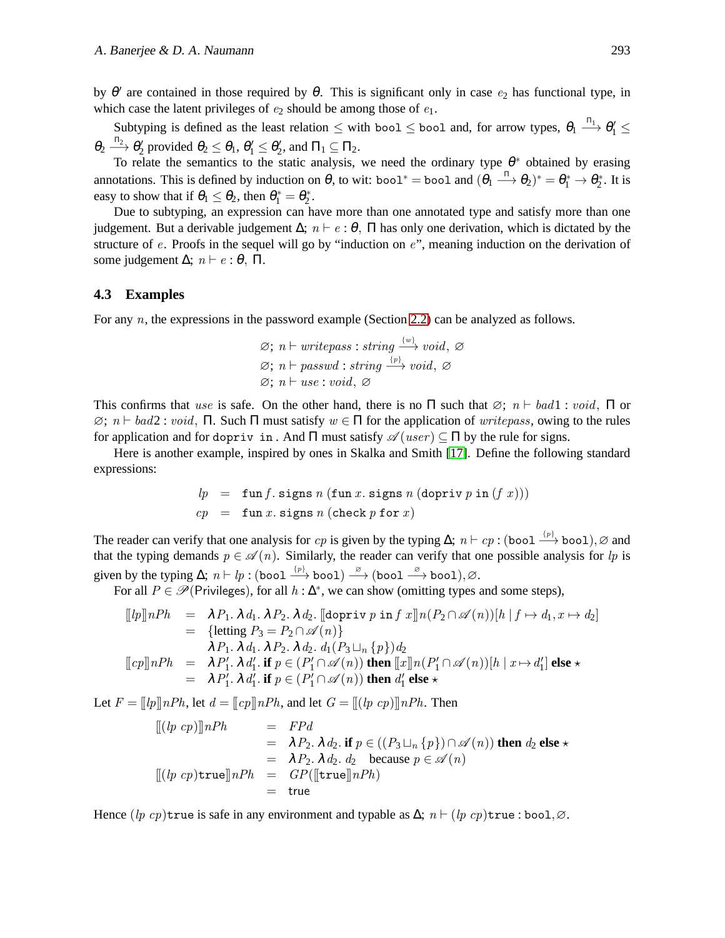by  $\theta'$  are contained in those required by  $\theta$ . This is significant only in case  $e_2$  has functional type, in which case the latent privileges of  $e_2$  should be among those of  $e_1$ .

Subtyping is defined as the least relation  $\leq$  with bool  $\leq$  bool and, for arrow types,  $\theta_1 \stackrel{\Pi_1}{\longrightarrow} \theta_1' \leq$  $\theta_2 \stackrel{\Pi_2}{\longrightarrow} \theta_2'$  provided  $\theta_2 \le \theta_1$ ,  $\theta_1' \le \theta_2'$ , and  $\Pi_1 \subseteq \Pi_2$ .

To relate the semantics to the static analysis, we need the ordinary type  $\theta^*$  obtained by erasing annotations. This is defined by induction on  $\theta$ , to wit: bool<sup>\*</sup> = bool and  $(\theta_1 \stackrel{\Pi}{\longrightarrow} \theta_2)^* = \theta_1^* \to \theta_2^*$ . It is easy to show that if  $\theta_1 \le \theta_2$ , then  $\theta_1^* = \theta_2^*$ .

Due to subtyping, an expression can have more than one annotated type and satisfy more than one judgement. But a derivable judgement  $\Delta$ ;  $n \vdash e : \theta$ ,  $\Pi$  has only one derivation, which is dictated by the structure of e. Proofs in the sequel will go by "induction on e", meaning induction on the derivation of some judgement  $\Delta$ ;  $n \vdash e : \theta$ ,  $\Pi$ .

#### **4.3 Examples**

For any *n*, the expressions in the password example (Section [2.2\)](#page-4-0) can be analyzed as follows.

$$
\emptyset; n \vdash writepass: string \xrightarrow{\{w\}} void, \emptyset
$$
  

$$
\emptyset; n \vdash passwd: string \xrightarrow{\{p\}} void, \emptyset
$$
  

$$
\emptyset; n \vdash use: void, \emptyset
$$

This confirms that use is safe. On the other hand, there is no  $\Pi$  such that  $\varnothing$ ;  $n \vdash bad1$  : void,  $\Pi$  or  $\emptyset$ ;  $n \vdash bad2$ : void,  $\Pi$ . Such  $\Pi$  must satisfy  $w \in \Pi$  for the application of write pass, owing to the rules for application and for dopriv in . And  $\Pi$  must satisfy  $\mathscr{A}(user) \subseteq \Pi$  by the rule for signs.

Here is another example, inspired by ones in Skalka and Smith [\[17\]](#page-24-3). Define the following standard expressions:

$$
lp = \text{fun } f. \text{ signs } n \text{ (fun } x. \text{ signs } n \text{ (dopriv } p \text{ in } (f x))\text{)}
$$
\n
$$
cp = \text{fun } x. \text{ signs } n \text{ (check } p \text{ for } x\text{)}
$$

The reader can verify that one analysis for  $cp$  is given by the typing  $\Delta; n \vdash cp : (bool \xrightarrow{p} bool), \varnothing$  and that the typing demands  $p \in \mathcal{A}(n)$ . Similarly, the reader can verify that one possible analysis for lp is given by the typing  $\Delta; n \vdash lp : (bool \xrightarrow{p} bool) \xrightarrow{\emptyset} (bool \xrightarrow{\emptyset} bool), \emptyset.$ 

For all  $P \in \mathcal{P}(\text{Privileges})$ , for all  $h : \Delta^*$ , we can show (omitting types and some steps),

$$
\begin{array}{rcl}\n[[lp]\!] nPh & = & \lambda P_1.\ \lambda\ d_1.\ \lambda\ P_2.\ \lambda\ d_2.\ \llbracket \text{dopriv}\ p\ \text{in}\ f\ x \rrbracket n(P_2\cap \mathscr{A}(n))[h\ |\ f\mapsto d_1,x\mapsto d_2] \\
& = & \{\text{letting}\ P_3 = P_2\cap \mathscr{A}(n)\} \\
& \lambda\ P_1.\ \lambda\ d_1.\ \lambda\ P_2.\ \lambda\ d_2.\ d_1(P_3\sqcup_n\{p\})d_2 \\
[\![cp]\!] nPh & = & \lambda P_1'.\ \lambda\ d_1'.\ \text{if}\ p\in (P_1'\cap \mathscr{A}(n))\ \text{then}\ [\![x]\!] n(P_1'\cap \mathscr{A}(n))[h\ |\ x\mapsto d_1']\ \text{else}\ \star \\
& = & \lambda\ P_1'.\ \lambda\ d_1'.\ \text{if}\ p\in (P_1'\cap \mathscr{A}(n))\ \text{then}\ d_1'\ \text{else}\ \star\n\end{array}
$$

Let  $F = ||lp||nPh$ , let  $d = ||cp||nPh$ , and let  $G = ||(lp cp)||nPh$ . Then

$$
\begin{array}{rcl}\n\llbracket (\ln cp) \rrbracket nPh & = & FPd \\
& = & \lambda P_2. \lambda d_2. \text{ if } p \in ((P_3 \sqcup_n \{p\}) \cap \mathscr{A}(n)) \text{ then } d_2 \text{ else } \star \\
& = & \lambda P_2. \lambda d_2. \text{ d}_2 \text{ because } p \in \mathscr{A}(n) \\
\llbracket (\ln cp) \text{true} \rrbracket nPh & = & GP(\llbracket \text{true} \rrbracket nPh) \\
& = & \text{true}\n\end{array}
$$

Hence  $(lp \; cp)$ true is safe in any environment and typable as  $\Delta; n \vdash (lp \; cp)$ true : bool,∅.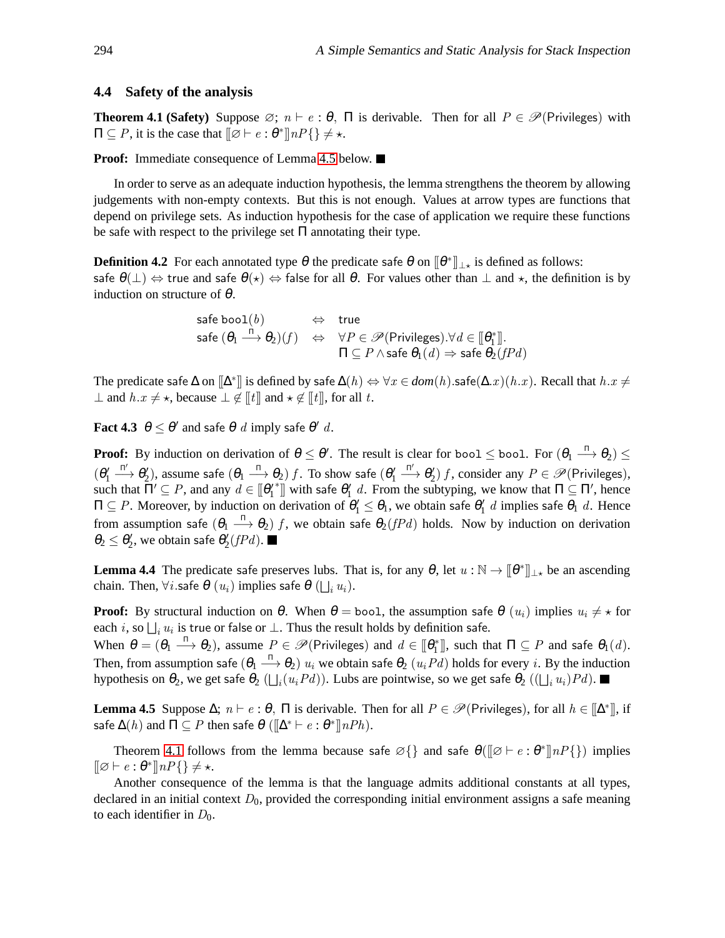#### <span id="page-10-1"></span>**4.4 Safety of the analysis**

**Theorem 4.1 (Safety)** Suppose  $\emptyset$ ;  $n \vdash e : \theta$ ,  $\Pi$  is derivable. Then for all  $P \in \mathcal{P}$ (Privileges) with  $\Pi \subseteq P$ , it is the case that  $[\![\varnothing \vdash e : \theta^*]\!] n P\{\} \neq \star$ .

**Proof:** Immediate consequence of Lemma [4.5](#page-10-0) below. ■

In order to serve as an adequate induction hypothesis, the lemma strengthens the theorem by allowing judgements with non-empty contexts. But this is not enough. Values at arrow types are functions that depend on privilege sets. As induction hypothesis for the case of application we require these functions be safe with respect to the privilege set  $\Pi$  annotating their type.

**Definition 4.2** For each annotated type  $\theta$  the predicate safe  $\theta$  on  $[\![\theta^*]\!]_{\perp \star}$  is defined as follows: safe  $\theta(\perp) \Leftrightarrow$  true and safe  $\theta(\star) \Leftrightarrow$  false for all  $\theta$ . For values other than  $\perp$  and  $\star$ , the definition is by induction on structure of  $\theta$ .

> safe boo $\mathtt{l}(b)$   $\qquad \Leftrightarrow \quad$  true safe  $(\theta_1 \stackrel{\Pi}{\longrightarrow} \theta_2)(f) \Leftrightarrow \forall P \in \mathscr{P}(\text{Privileges}). \forall d \in [\![\theta_1^*]\!]$ .  $\Pi \subseteq P \wedge$ safe  $\theta_1(d) \Rightarrow$  safe  $\theta_2(f P d)$

The predicate safe  $\Delta$  on  $[\![\Delta^*]\!]$  is defined by safe  $\Delta(h) \Leftrightarrow \forall x\in dom(h)$ .safe $(\Delta.x)(h.x)$ . Recall that  $h.x\neq$  $\perp$  and  $h.x \neq \star$ , because  $\perp \notin \llbracket t \rrbracket$  and  $\star \notin \llbracket t \rrbracket$ , for all t.

<span id="page-10-2"></span>**Fact 4.3**  $\theta \le \theta'$  and safe  $\theta$  d imply safe  $\theta'$  d.

**Proof:** By induction on derivation of  $\theta \le \theta'$ . The result is clear for bool  $\le$  bool. For  $(\theta_1 \stackrel{\Pi}{\longrightarrow} \theta_2) \le$  $(\theta_1')$  $\stackrel{\Pi'}{\longrightarrow} \theta'_2$ ), assume safe  $(\theta_1 \stackrel{\Pi}{\longrightarrow} \theta_2)$   $f$ . To show safe  $(\theta'_1$  $\stackrel{\Pi'}{\longrightarrow} \theta'_2$  f, consider any  $P \in \mathscr{P}$  (Privileges), such that  $\Pi' \subseteq P$ , and any  $d \in [\![\theta'_1\!]$ <sup>\*</sup>]] with safe  $θ'_{1}$  d. From the subtyping, we know that  $\Pi \subseteq \Pi'$ , hence  $\Pi\subseteq P$ . Moreover, by induction on derivation of  $\theta'_1\leq\theta_1$ , we obtain safe  $\theta'_1$  d implies safe  $\theta_1$  d. Hence from assumption safe  $(\theta_1 \stackrel{\Pi}{\longrightarrow} \theta_2)$  f, we obtain safe  $\theta_2(fPd)$  holds. Now by induction on derivation  $\theta_2 \leq \theta_2'$ , we obtain safe  $\theta_2'(fPd)$ .

<span id="page-10-3"></span>**Lemma 4.4** The predicate safe preserves lubs. That is, for any  $\theta$ , let  $u : \mathbb{N} \to [\![\theta^*]\!]_{\perp}$  be an ascending chain. Then,  $\forall i.$ safe  $\theta\ (u_i)$  implies safe  $\theta\ (\bigsqcup_i u_i).$ 

**Proof:** By structural induction on  $\theta$ . When  $\theta = \text{bool}$ , the assumption safe  $\theta(u_i)$  implies  $u_i \neq \infty$  for each  $i$ , so  $\bigsqcup_i u_i$  is true or false or  $\bot$ . Thus the result holds by definition safe.

When  $\theta = (\theta_1 \stackrel{\Pi}{\longrightarrow} \theta_2)$ , assume  $P \in \mathscr{P}(\text{Privileges})$  and  $d \in [\![\theta_1^*]\!]$ , such that  $\Pi \subseteq P$  and safe  $\theta_1(d)$ . Then, from assumption safe  $(\theta_1 \stackrel{\Pi}{\longrightarrow} \theta_2)$   $u_i$  we obtain safe  $\theta_2$   $(u_iPd)$  holds for every  $i.$  By the induction hypothesis on  $\theta_2$ , we get safe  $\theta_2$  ( $\bigsqcup_i (u_i P d)$ ). Lubs are pointwise, so we get safe  $\theta_2$  (( $\bigsqcup_i u_i) P d$ ).

<span id="page-10-0"></span>**Lemma 4.5** Suppose  $\Delta$ ;  $n \vdash e : \theta$ ,  $\Pi$  is derivable. Then for all  $P \in \mathcal{P}$ (Privileges), for all  $h \in [\![\Delta^*]\!]$ , if safe  $\Delta(h)$  and  $\Pi \subseteq P$  then safe  $\theta$  ( $\Vert \Delta^* \vdash e : \theta^* \Vert nPh$ ).

Theorem [4.1](#page-10-1) follows from the lemma because safe  $\mathcal{O}\{\}$  and safe  $\theta(\mathcal{O} \mid e : \theta^* \| nP\{\})$  implies  $[\![\varnothing \vdash e:\theta^*]\!] n P\{\}\neq \star.$ 

Another consequence of the lemma is that the language admits additional constants at all types, declared in an initial context  $D_0$ , provided the corresponding initial environment assigns a safe meaning to each identifier in  $D_0$ .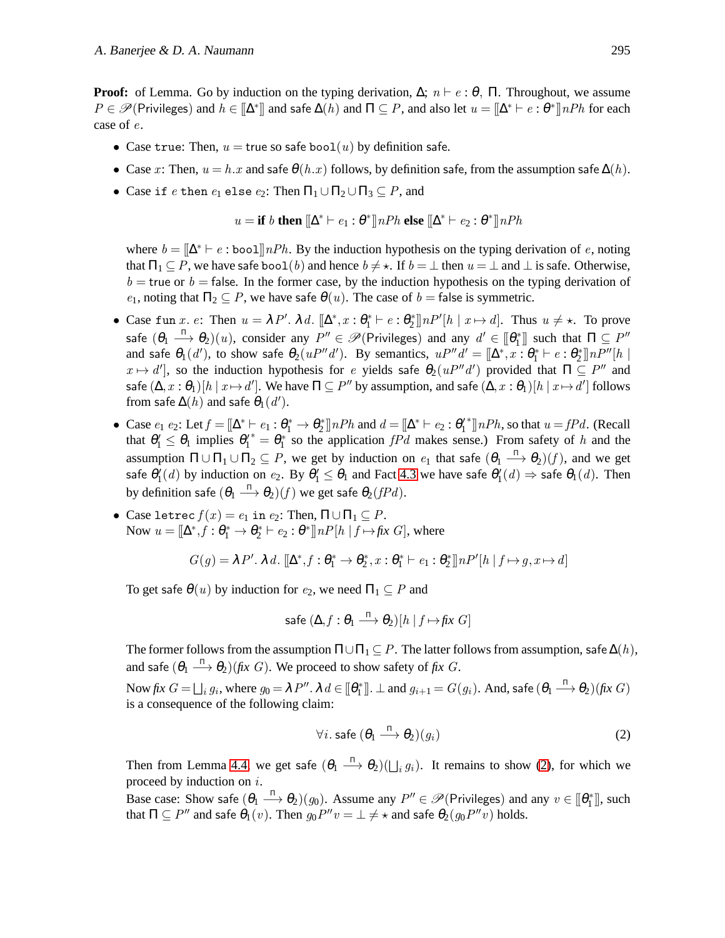**Proof:** of Lemma. Go by induction on the typing derivation,  $\Delta$ ;  $n \vdash e : \theta$ ,  $\Pi$ . Throughout, we assume  $P \in \mathscr{P}(\text{Privileges})$  and  $h \in [\![\Delta^*]\!]$  and safe  $\Delta(h)$  and  $\Pi \subseteq P$ , and also let  $u = [\![\Delta^* \vdash e : \theta^*]\!] nPh$  for each case of e.

- Case true: Then,  $u =$  true so safe bool(u) by definition safe.
- Case x: Then,  $u = h.x$  and safe  $\theta(h.x)$  follows, by definition safe, from the assumption safe  $\Delta(h)$ .
- Case if e then  $e_1$  else  $e_2$ : Then  $\Pi_1 \cup \Pi_2 \cup \Pi_3 \subseteq P$ , and

$$
u = \textbf{if } b \textbf{ then } [\![\Delta^* \vdash e_1 : \theta^* \!] \, nPh \textbf{ else } [\![\Delta^* \vdash e_2 : \theta^* \!] \, nPh
$$

where  $b = [\Delta^* \vdash e : \text{bool}] \, nPh$ . By the induction hypothesis on the typing derivation of e, noting that  $\Pi_1 \subseteq P$ , we have safe bool(b) and hence  $b \neq \star$ . If  $b = \perp$  then  $u = \perp$  and  $\perp$  is safe. Otherwise,  $b =$  true or  $b =$  false. In the former case, by the induction hypothesis on the typing derivation of  $e_1$ , noting that  $\Pi_2 \subseteq P$ , we have safe  $\theta(u)$ . The case of  $b =$  false is symmetric.

- Case fun x. e: Then  $u = \lambda P'$ .  $\lambda d$ .  $[\Delta^*, x : \theta_1^* \vdash e : \theta_2^*] \ln P' [h \mid x \mapsto d]$ . Thus  $u \neq \star$ . To prove safe  $(\theta_1 \stackrel{\pi}{\longrightarrow} \theta_2)(u)$ , consider any  $P'' \in \mathscr{P}(\mathsf{Privileges})$  and any  $d' \in [\![\theta_1^*]\!]$  such that  $\Pi \subseteq P''$ and safe  $\theta_1(d')$ , to show safe  $\theta_2(uP''d')$ . By semantics,  $uP''d' = [\Delta^*, x:\theta_1^* \vdash e:\theta_2^*] \ln P''[h]$  $x \mapsto d'$ , so the induction hypothesis for e yields safe  $\theta_2(uP''d')$  provided that  $\Pi \subseteq P''$  and safe  $(\Delta,x:\theta_1)[h\ |\ x \mapsto d']$ . We have  $\Pi\subseteq P''$  by assumption, and safe  $(\Delta,x:\theta_1)[h\ |\ x \mapsto d']$  follows from safe  $\Delta(h)$  and safe  $\theta_1(d').$
- Case  $e_1$   $e_2$ : Let  $f = [\Delta^* \vdash e_1 : \theta_1^* \to \theta_2^*]$  nPh and  $d = [\Delta^* \vdash e_2 : \theta_1'$ <sup>\*</sup>]] $nPh$ , so that  $u = fPd$ . (Recall that  $\theta'_1 \leq \theta_1$  implies  $\theta'^*_1 = \theta^*_1$  so the application  $f P d$  makes sense.) From safety of h and the assumption  $\Pi \cup \Pi_1 \cup \Pi_2 \subseteq P$ , we get by induction on  $e_1$  that safe  $(\theta_1 \stackrel{\Pi}{\longrightarrow} \theta_2)(f)$ , and we get safe  $\theta'_1(d)$  by induction on  $e_2$ . By  $\theta'_1 \le \theta_1$  and Fact [4.3](#page-10-2) we have safe  $\theta'_1(d) \Rightarrow$  safe  $\theta_1(d)$ . Then by definition safe  $(\theta_1 \stackrel{\Pi}{\longrightarrow} \theta_2)(f)$  we get safe  $\theta_2(f Pd).$
- Case letrec  $f(x) = e_1$  in  $e_2$ : Then,  $\Pi \cup \Pi_1 \subseteq P$ . Now  $u = [\Delta^*, f : \theta_1^* \to \theta_2^* \vdash e_2 : \theta^*] \ln P[h | f \mapsto fix G]$ , where

$$
G(g) = \lambda P'. \lambda d. \; [\![\Delta^*, f:\theta^*_1 \to \theta^*_2, x:\theta^*_1 \vdash e_1:\theta^*_2]\!] \cdot nP'[h \mid f \mapsto g, x \mapsto d]
$$

To get safe  $\theta(u)$  by induction for  $e_2$ , we need  $\Pi_1 \subseteq P$  and

$$
\mathsf{safe}\ (\Delta, f:\theta_1 \overset{\Pi}{\longrightarrow} \theta_2)[h \ | \ f \!\mapsto\! f\!ix\ G]
$$

The former follows from the assumption  $\Pi \cup \Pi_1 \subseteq P$ . The latter follows from assumption, safe  $\Delta(h)$ , and safe  $(\theta_1 \stackrel{\Pi}{\longrightarrow} \theta_2)$  *(fix G*). We proceed to show safety of *fix G*.

Now  $\mathit{fix}~ G = \bigsqcup_i g_i$ , where  $g_0 = \lambda P''$ .  $\lambda$   $d \in [\![\theta^*_1]\!]$ .  $\bot$  and  $g_{i+1} = G(g_i)$ . And, safe  $(\theta_1 \stackrel{\Pi}{\longrightarrow} \theta_2)(\mathit{fix}~ G)$ is a consequence of the following claim:

<span id="page-11-0"></span>
$$
\forall i. \text{ safe } (\theta_1 \xrightarrow{\Pi} \theta_2)(g_i) \tag{2}
$$

Then from Lemma [4.4,](#page-10-3) we get safe  $(\theta_1 \stackrel{\Pi}{\longrightarrow} \theta_2)(\bigsqcup_i g_i)$ . It remains to show [\(2\)](#page-11-0), for which we proceed by induction on  $i$ .

Base case: Show safe  $(\theta_1 \stackrel{\Pi}{\longrightarrow} \theta_2)(g_0)$ . Assume any  $P'' \in \mathscr{P}(\text{Privileges})$  and any  $v \in [\![\theta_1^*]\!]$ , such that  $\Pi \subseteq P''$  and safe  $\theta_1(v)$ . Then  $g_0P''v = \bot \neq \star$  and safe  $\theta_2(g_0P''v)$  holds.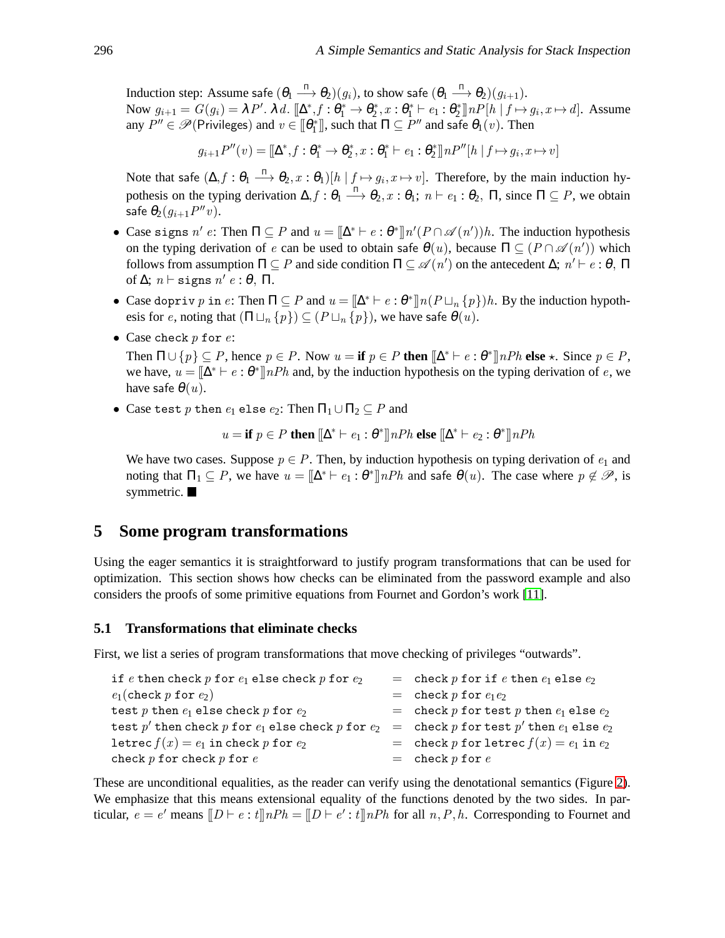Induction step: Assume safe  $(\theta_1 \stackrel{\Pi}{\longrightarrow} \theta_2)(g_i)$ , to show safe  $(\theta_1 \stackrel{\Pi}{\longrightarrow} \theta_2)(g_{i+1})$ . Now  $g_{i+1} = G(g_i) = \lambda P'. \lambda d. \llbracket \Delta^*, f : \theta_1^* \to \theta_2^*, x : \theta_1^* \vdash e_1 : \theta_2^* \rrbracket nP[h \mid f \mapsto g_i, x \mapsto d].$  Assume any  $P'' \in \mathscr{P}(\text{Privileges})$  and  $v \in [\![\theta_1^*]\!]$ , such that  $\Pi \subseteq P''$  and safe  $\theta_1(v)$ . Then

 $g_{i+1}P''(v) = [\Delta^*, f : \theta_1^* \to \theta_2^*, x : \theta_1^* \vdash e_1 : \theta_2^*] \cap P''[h | f \mapsto g_i, x \mapsto v]$ 

Note that safe  $(\Delta, f : \theta_1 \stackrel{\Pi}{\longrightarrow} \theta_2, x : \theta_1)[h | f \mapsto g_i, x \mapsto v]$ . Therefore, by the main induction hypothesis on the typing derivation  $\Delta, f : \theta_1 \stackrel{\Pi}{\longrightarrow} \theta_2, x : \theta_1; n \vdash e_1 : \theta_2$ ,  $\Pi$ , since  $\Pi \subseteq P$ , we obtain safe  $\theta_2(g_{i+1}P''v)$ .

- Case signs n' e: Then  $\Pi \subseteq P$  and  $u = [\Delta^* \vdash e : \theta^*] \ln^{\prime}(P \cap \mathscr{A}(n'))h$ . The induction hypothesis on the typing derivation of e can be used to obtain safe  $\theta(u)$ , because  $\Pi \subseteq (P \cap \mathscr{A}(n'))$  which follows from assumption  $\Pi \subseteq P$  and side condition  $\Pi \subseteq \mathscr{A}(n')$  on the antecedent  $\Delta; n' \vdash e : \theta, \Pi$ of  $\Delta$ ;  $n \vdash$  signs  $n' e : \theta$ ,  $\Pi$ .
- Case dopriv p in e: Then  $\Pi \subseteq P$  and  $u = [\Delta^* \vdash e : \theta^*] \ln(P \sqcup_n \{p\})h$ . By the induction hypothesis for e, noting that  $(\Pi \sqcup_n \{p\}) \subseteq (P \sqcup_n \{p\})$ , we have safe  $\theta(u)$ .
- Case check  $p$  for  $e$ :

Then  $\Pi \cup \{p\} \subseteq P$ , hence  $p \in P$ . Now  $u = \textbf{if } p \in P$  then  $[\![\Delta^* \vdash e : \theta^* \!]$  *nPh* else  $\star$ . Since  $p \in P$ , we have,  $u = [\Delta^* \vdash e : \theta^*]$  nPh and, by the induction hypothesis on the typing derivation of e, we have safe  $\theta(u)$ .

• Case test p then  $e_1$  else  $e_2$ : Then  $\Pi_1 \cup \Pi_2 \subseteq P$  and

$$
u = \textbf{if } p \in P \textbf{ then } [\![ \Delta^* \vdash e_1 : \theta^* ]\!] \text{ } nPh \textbf{ else } [\![ \Delta^* \vdash e_2 : \theta^* ]\!] \text{ } nPh
$$

We have two cases. Suppose  $p \in P$ . Then, by induction hypothesis on typing derivation of  $e_1$  and noting that  $\Pi_1 \subseteq P$ , we have  $u = [\Delta^* \vdash e_1 : \theta^*] \cap Ph$  and safe  $\theta(u)$ . The case where  $p \notin \mathscr{P}$ , is symmetric.

# <span id="page-12-0"></span>**5 Some program transformations**

Using the eager semantics it is straightforward to justify program transformations that can be used for optimization. This section shows how checks can be eliminated from the password example and also considers the proofs of some primitive equations from Fournet and Gordon's work [\[11\]](#page-24-7).

#### <span id="page-12-1"></span>**5.1 Transformations that eliminate checks**

First, we list a series of program transformations that move checking of privileges "outwards".

| if e then check $p$ for $e_1$ else check $p$ for $e_2$      | = check $p$ for if $e$ then $e_1$ else $e_2$                                            |
|-------------------------------------------------------------|-----------------------------------------------------------------------------------------|
| $e_1$ (check p for $e_2$ )                                  | $=$ check p for $e_1e_2$                                                                |
| test $p$ then $e_1$ else check $p$ for $e_2$                | = check p for test p then $e_1$ else $e_2$                                              |
| test $p'$ then check $p$ for $e_1$ else check $p$ for $e_2$ | $\epsilon = \text{ check } p \text{ for test } p' \text{ then } e_1 \text{ else } e_2.$ |
| letrec $f(x) = e_1$ in check p for $e_2$                    | = check p for letrec $f(x) = e_1$ in $e_2$                                              |
| check $p$ for check $p$ for $e$                             | $=$ check p for e                                                                       |

These are unconditional equalities, as the reader can verify using the denotational semantics (Figure [2\)](#page-7-1). We emphasize that this means extensional equality of the functions denoted by the two sides. In particular,  $e = e'$  means  $[CD \vdash e : t] \cap Ph = [CD \vdash e' : t] \cap Ph$  for all  $n, P, h$ . Corresponding to Fournet and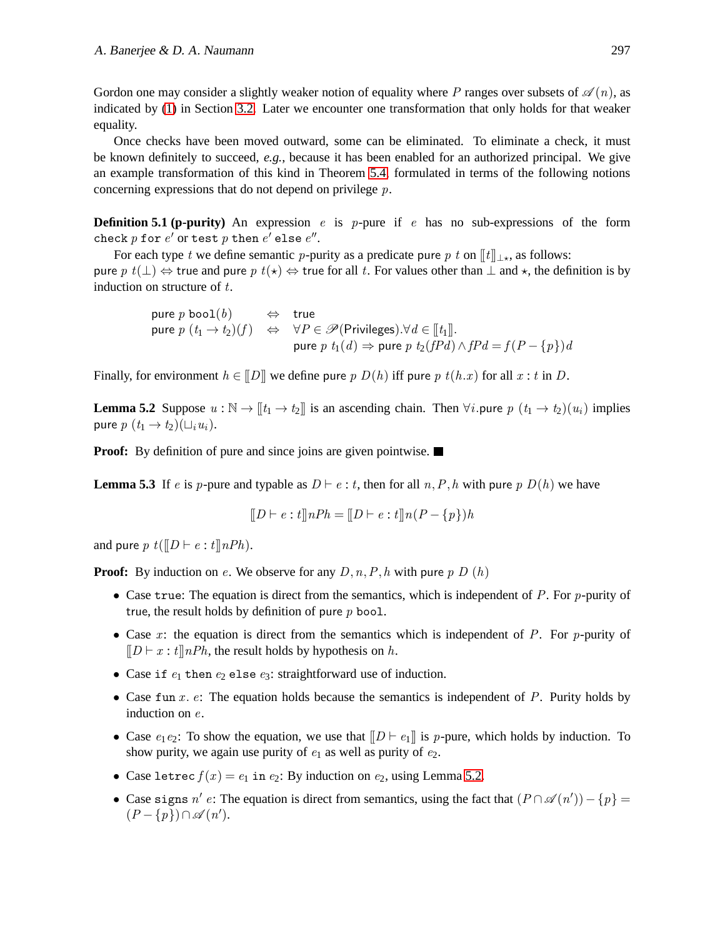Gordon one may consider a slightly weaker notion of equality where P ranges over subsets of  $\mathscr{A}(n)$ , as indicated by [\(1\)](#page-6-0) in Section [3.2.](#page-6-1) Later we encounter one transformation that only holds for that weaker equality.

Once checks have been moved outward, some can be eliminated. To eliminate a check, it must be known definitely to succeed, *e.g.*, because it has been enabled for an authorized principal. We give an example transformation of this kind in Theorem [5.4,](#page-14-0) formulated in terms of the following notions concerning expressions that do not depend on privilege  $p$ .

**Definition 5.1 (p-purity)** An expression e is p-pure if e has no sub-expressions of the form check  $p$  for  $e'$  or test  $p$  then  $e'$  else  $e''.$ 

For each type t we define semantic p-purity as a predicate pure p t on  $[[t]]_{\perp \star}$ , as follows: pure p  $t(\perp)$  ⇔ true and pure p  $t(\star)$  ⇔ true for all t. For values other than  $\perp$  and  $\star$ , the definition is by induction on structure of  $t$ .

> pure p bool $(b) \Leftrightarrow$  true pure  $p(t_1 \to t_2)(f) \Leftrightarrow \forall P \in \mathscr{P}(\text{Privileges}).\forall d \in [\![t_1]\!].$ pure  $p\,\,t_1(d)\Rightarrow$  pure  $p\,\,t_2(fPd)\wedge fPd=f(P-\{p\})d$

<span id="page-13-0"></span>Finally, for environment  $h \in [D]$  we define pure p  $D(h)$  iff pure p  $t(h.x)$  for all  $x : t$  in D.

**Lemma 5.2** Suppose  $u : \mathbb{N} \to [\![t_1 \to t_2]\!]$  is an ascending chain. Then  $\forall i$ . pure  $p(t_1 \to t_2)(u_i)$  implies pure  $p(t_1 \rightarrow t_2)(\sqcup_i u_i)$ .

<span id="page-13-1"></span>**Proof:** By definition of pure and since joins are given pointwise.

**Lemma 5.3** If e is p-pure and typable as  $D \vdash e : t$ , then for all  $n, P, h$  with pure p  $D(h)$  we have

$$
[[D \vdash e : t]] nPh = [[D \vdash e : t]] n (P - \{p\}) h
$$

and pure  $p t([D \vdash e : t] \mid nPh)$ .

**Proof:** By induction on e. We observe for any  $D, n, P, h$  with pure p  $D(h)$ 

- Case true: The equation is direct from the semantics, which is independent of  $P$ . For  $p$ -purity of true, the result holds by definition of pure  $p$  bool.
- Case x: the equation is direct from the semantics which is independent of P. For p-purity of  $[|D \vdash x : t]|nPh$ , the result holds by hypothesis on h.
- Case if  $e_1$  then  $e_2$  else  $e_3$ : straightforward use of induction.
- Case fun x.  $e$ : The equation holds because the semantics is independent of P. Purity holds by induction on e.
- Case  $e_1e_2$ : To show the equation, we use that  $[|D \vdash e_1]|$  is p-pure, which holds by induction. To show purity, we again use purity of  $e_1$  as well as purity of  $e_2$ .
- Case letrec  $f(x) = e_1$  in  $e_2$ : By induction on  $e_2$ , using Lemma [5.2.](#page-13-0)
- Case signs n' e: The equation is direct from semantics, using the fact that  $(P \cap \mathscr{A}(n')) \{p\} =$  $(P - \{p\}) \cap \mathscr{A}(n').$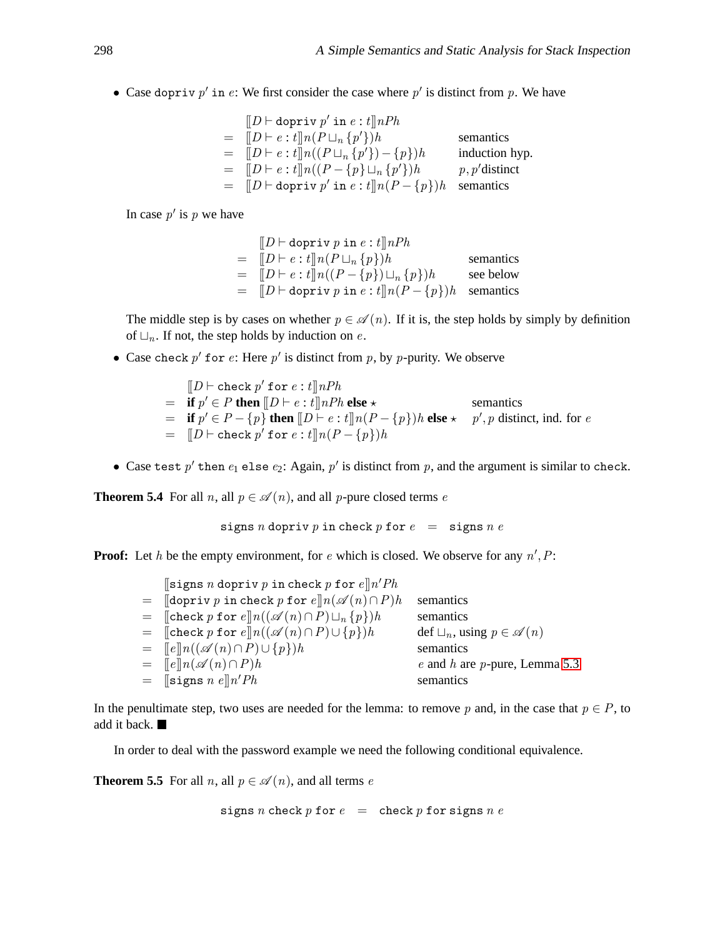• Case dopriv  $p'$  in  $e$ : We first consider the case where  $p'$  is distinct from  $p$ . We have

$$
\begin{array}{lll}\n[D \vdash \text{dopriv } p' \text{ in } e : t]\n\end{array}\n\begin{array}{lll}\nD \vdash e : t]\n\end{array}\n\begin{array}{lll}\nD \vdash e : t]\n\end{array}\n\begin{array}{lll}\nP \vdash e : t]\n\end{array}\n\begin{array}{lll}\nP \vdash e : t]\n\end{array}\n\begin{array}{lll}\nP \vdash e : t]\n\end{array}\n\begin{array}{lll}\nP \vdash e : t]\n\end{array}\n\begin{array}{lll}\nP \vdash e : t]\n\end{array}\n\begin{array}{lll}\nP \vdash e : t]\n\end{array}\n\begin{array}{lll}\nP \vdash e : t]\n\end{array}\n\begin{array}{lll}\nP \vdash e : t]\n\end{array}\n\begin{array}{lll}\nP \vdash e : t]\n\end{array}\n\begin{array}{lll}\nP \vdash e : t]\n\end{array}\n\begin{array}{lll}\nP \vdash e : t]\n\end{array}\n\begin{array}{lll}\nP \vdash e : t]\n\end{array}\n\begin{array}{lll}\nP \vdash e : t]\n\end{array}\n\begin{array}{lll}\nP \vdash e : t]\n\end{array}\n\begin{array}{lll}\nP \vdash e : t]\n\end{array}\n\begin{array}{lll}\nP \vdash e : t]\n\end{array}\n\begin{array}{lll}\nP \vdash e : t]\n\end{array}\n\begin{array}{lll}\nP \vdash e : t]\n\end{array}\n\end{array}\n\begin{array}{lllll}\nP \vdash e : t]\n\end{array}\n\end{array}\n\end{array}
$$

In case  $p'$  is  $p$  we have

$$
\begin{array}{lll}\n[D \vdash \text{dopriv } p \text{ in } e : t]\n\end{array} \n\begin{array}{lll}\nD \vdash e : t]\n\end{array} \n\begin{array}{lll}\nnPh \\
\text{semantics} \\
= & [D \vdash e : t]\n\end{array} \n\begin{array}{lll}\nn(P \sqcup_n \{p\})h \\
= & [D \vdash \text{dopriv } p \text{ in } e : t]\n\end{array} \n\begin{array}{lll}\nnp \rightarrow h \\
p \rightarrow h\n\end{array} \n\begin{array}{lll}\n\text{semantics} \\
\text{semantics}\n\end{array}
$$

The middle step is by cases on whether  $p \in \mathscr{A}(n)$ . If it is, the step holds by simply by definition of  $\Box_n$ . If not, the step holds by induction on e.

- Case check  $p'$  for  $e$ : Here  $p'$  is distinct from  $p$ , by  $p$ -purity. We observe
	- $[\![D \vdash \texttt{check}\ p'\ \texttt{for}\ e\mathbin{:} t]\!] \textit{nPh}$  $=$  **if**  $p' \in P$  **then**  $[|D \vdash e : t]|nPh$  **else**  $\star$  semantics  $=$  **if**  $p' ∈ P - {p}$  **then**  $[D ⊢ e : t] n(P - {p}) h$  **else**  $\star$   $p', p$  distinct, ind. for e  $=$   $[$ D  $\vdash$  check  $p'$  for  $e:t$ ] $n(P - {p})h$
- Case test  $p'$  then  $e_1$  else  $e_2$ : Again,  $p'$  is distinct from  $p$ , and the argument is similar to check.

<span id="page-14-0"></span>**Theorem 5.4** For all n, all  $p \in \mathcal{A}(n)$ , and all p-pure closed terms e

signs n dopriv p in check p for  $e = \text{signs } n e$ 

**Proof:** Let  $h$  be the empty environment, for  $e$  which is closed. We observe for any  $n', P$ :

| $\lbrack \lbrack \text{signs }n \text{ dopriv }p \text{ in check }p \text{ for } e \rbrack \rbrack n' Ph$  |                                              |
|------------------------------------------------------------------------------------------------------------|----------------------------------------------|
| $=$ $\lceil \text{dopriv } p \text{ in check } p \text{ for } e \rceil n (\mathscr{A}(n) \cap P) h \rceil$ | semantics                                    |
| $=$ [check p for $e \mid n((\mathscr{A}(n) \cap P) \sqcup_n \{p\}) h$                                      | semantics                                    |
| $=$ [check p for $e \ln((\mathscr{A}(n) \cap P) \cup \{p\})h$                                              | $\det \Box_n$ , using $p \in \mathscr{A}(n)$ |
| $=$ $[ e ]   n ( (\mathscr{A} (n) \cap P) \cup \{ p \}) h$                                                 | semantics                                    |
| $=$ $\lbrack\lbrack e \rbrack\rbrack n(\mathscr{A}(n) \cap P)h$                                            | $e$ and $h$ are $p$ -pure, Lemma 5.3         |
| $=$ [signs <i>n</i> e] <i>n'Ph</i>                                                                         | semantics                                    |

In the penultimate step, two uses are needed for the lemma: to remove p and, in the case that  $p \in P$ , to add it back.

<span id="page-14-1"></span>In order to deal with the password example we need the following conditional equivalence.

**Theorem 5.5** For all *n*, all  $p \in \mathcal{A}(n)$ , and all terms *e* 

signs n check  $p$  for  $e$  = check  $p$  for signs  $n e$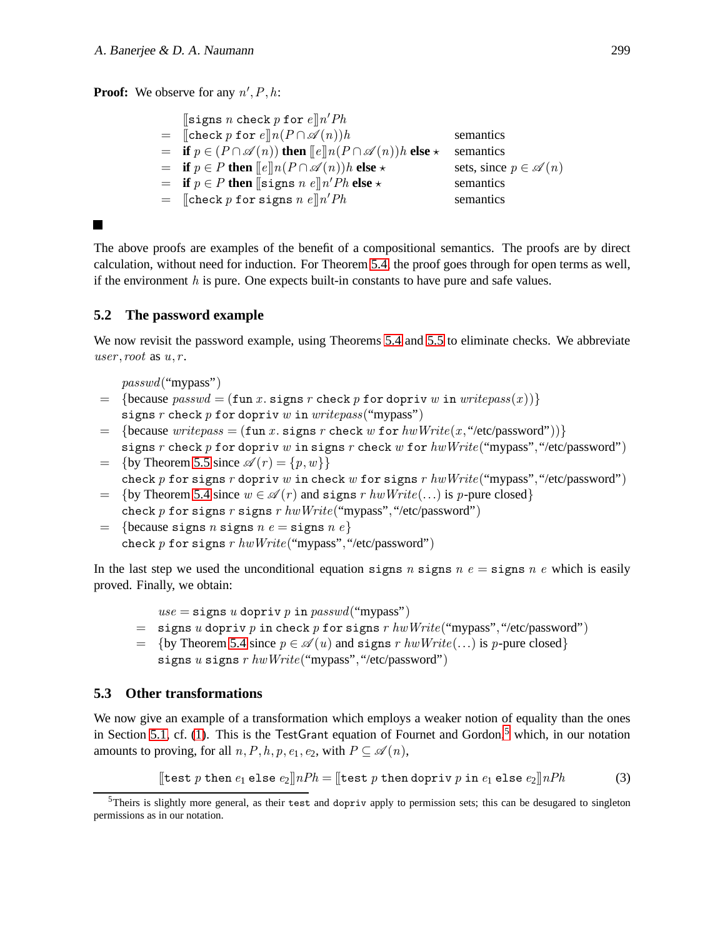**Proof:** We observe for any  $n', P, h$ :

| $\left[\left\lceil \text{signs } n \right\rceil \text{ check } p \text{ for } e \right] n' Ph$               |                                    |
|--------------------------------------------------------------------------------------------------------------|------------------------------------|
| $=$ [check p for $e \parallel n(P \cap \mathscr{A}(n))h$ ]                                                   | semantics                          |
| $=$ if $p \in (P \cap \mathscr{A}(n))$ then $\llbracket e \rrbracket n(P \cap \mathscr{A}(n))$ lelse $\star$ | semantics                          |
| $=$ if $p \in P$ then $\llbracket e \rrbracket n(P \cap \mathscr{A}(n))h$ else $\star$                       | sets, since $p \in \mathscr{A}(n)$ |
| $=$ if $p \in P$ then [signs n e]n'Ph else $\star$                                                           | semantics                          |
| $=$ [check p for signs n e] n'Ph                                                                             | semantics                          |
|                                                                                                              |                                    |

### П

The above proofs are examples of the benefit of a compositional semantics. The proofs are by direct calculation, without need for induction. For Theorem [5.4,](#page-14-0) the proof goes through for open terms as well, if the environment  $h$  is pure. One expects built-in constants to have pure and safe values.

### **5.2 The password example**

We now revisit the password example, using Theorems [5.4](#page-14-0) and [5.5](#page-14-1) to eliminate checks. We abbreviate user, root as  $u, r$ .

passwd("mypass")

- $=$  {because passwd = (fun x, signs r check p for dopriv w in writepass(x))} signs r check p for dopriv w in write pass("mypass")
- $=$  {because write pass = (fun x, signs r check w for hwWrite(x, "/etc/password"))} signs r check p for dopriv w in signs r check w for  $hwWrite("mynass", "etc/password")$
- $=$  {by Theorem [5.5](#page-14-1) since  $\mathscr{A}(r) = \{p,w\}$ } check p for signs r dopriv w in check w for signs r  $hwWrite("mypass", "etc/password")$
- $=$  {by Theorem [5.4](#page-14-0) since  $w \in \mathcal{A}(r)$  and signs r  $hwWrite(...)$  is p-pure closed} check p for signs r signs r  $hwWrite("mypass", "/etc/password")$
- = {because signs *n* signs *n*  $e =$  signs *n*  $e$ } check p for signs r  $hwWrite("mypass", "/etc/password")$

In the last step we used the unconditional equation signs n signs n  $e = \text{signs}$  n e which is easily proved. Finally, we obtain:

 $use = \text{signs } u \text{ dopriv } p \text{ in } passwd("mypass")$ 

- $=$  signs u dopriv p in check p for signs r hwWrite("mypass", "/etc/password")
- $= \{by Theorem 5.4 since p \in \mathcal{A}(u) \text{ and signs } r \text{ } h w \text{ } Write(...) \text{ is } p\text{-pure closed}\}\$  $= \{by Theorem 5.4 since p \in \mathcal{A}(u) \text{ and signs } r \text{ } h w \text{ } Write(...) \text{ is } p\text{-pure closed}\}\$  $= \{by Theorem 5.4 since p \in \mathcal{A}(u) \text{ and signs } r \text{ } h w \text{ } Write(...) \text{ is } p\text{-pure closed}\}\$ signs u signs r  $hwWrite("mypass", "/etc/password")$

### **5.3 Other transformations**

We now give an example of a transformation which employs a weaker notion of equality than the ones in Section [5.1,](#page-12-1) cf. [\(1\)](#page-6-0). This is the TestGrant equation of Fournet and Gordon, $5$  which, in our notation amounts to proving, for all  $n, P, h, p, e_1, e_2$ , with  $P \subseteq \mathscr{A}(n)$ ,

<span id="page-15-1"></span>[test *p* then 
$$
e_1
$$
 else  $e_2$ ] $\parallel$ *nPh* = [test *p* then dopriv *p* in  $e_1$  else  $e_2$ ] $\parallel$ *nPh* (3)

<span id="page-15-0"></span> $5$ Theirs is slightly more general, as their test and dopriv apply to permission sets; this can be desugared to singleton permissions as in our notation.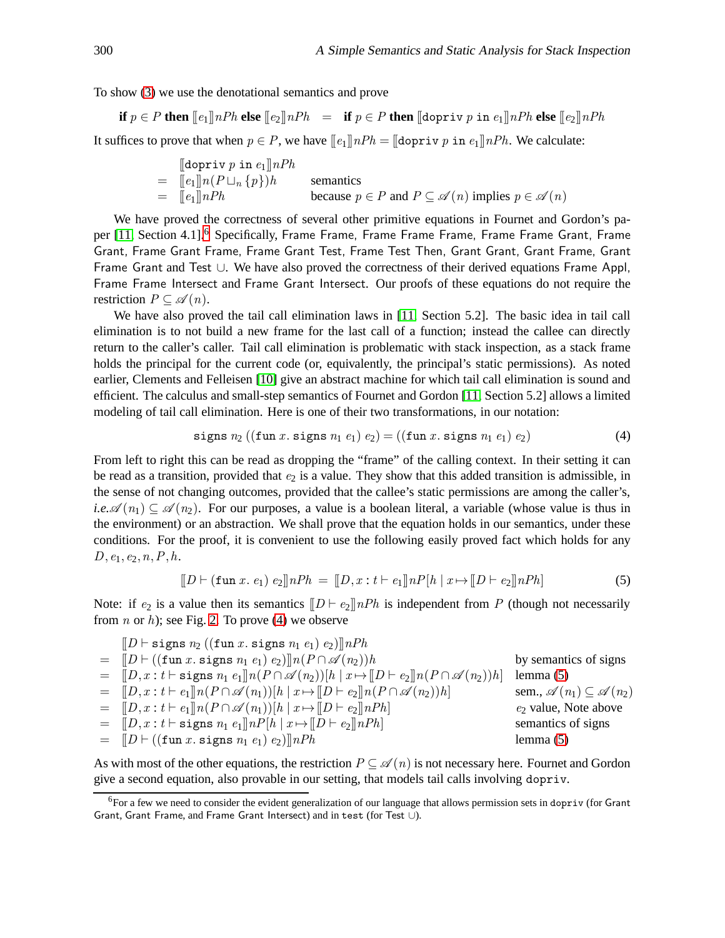To show [\(3\)](#page-15-1) we use the denotational semantics and prove

$$
\text{if } p \in P \text{ then } [\![e_1]\!] nPh \text{ else } [\![e_2]\!] nPh \;\; = \;\; \text{if } p \in P \text{ then } [\![\text{dopriv } p \text{ in } e_1]\!] nPh \text{ else } [\![e_2]\!] nPh
$$

It suffices to prove that when  $p \in P$ , we have  $[|e_1|]nPh = [dopri v p in e_1]nPh$ . We calculate:

$$
\begin{array}{ll}\n\text{[dopriv } p \text{ in } e_1 \text{] } nPh \\
= & \left[ e_1 \right] n (P \sqcup_n \{p\}) h \\
= & \left[ e_1 \right] n Ph \\
= & \left[ e_1 \right] n Ph \\
\end{array} \qquad \text{semantics} \qquad\n\begin{array}{ll}\n\text{semantics} \\
\text{because } p \in P \text{ and } P \subseteq \mathscr{A}(n) \text{ implies } p \in \mathscr{A}(n)\n\end{array}
$$

We have proved the correctness of several other primitive equations in Fournet and Gordon's pa-per [\[11,](#page-24-7) Section 4.1].<sup>[6](#page-16-0)</sup> Specifically, Frame Frame, Frame Frame, Frame Frame Grant, Frame Grant, Frame Grant Frame, Frame Grant Test, Frame Test Then, Grant Grant, Grant Frame, Grant Frame Grant and Test ∪. We have also proved the correctness of their derived equations Frame Appl, Frame Frame Intersect and Frame Grant Intersect. Our proofs of these equations do not require the restriction  $P \subseteq \mathscr{A}(n)$ .

We have also proved the tail call elimination laws in [\[11,](#page-24-7) Section 5.2]. The basic idea in tail call elimination is to not build a new frame for the last call of a function; instead the callee can directly return to the caller's caller. Tail call elimination is problematic with stack inspection, as a stack frame holds the principal for the current code (or, equivalently, the principal's static permissions). As noted earlier, Clements and Felleisen [\[10\]](#page-24-9) give an abstract machine for which tail call elimination is sound and efficient. The calculus and small-step semantics of Fournet and Gordon [\[11,](#page-24-7) Section 5.2] allows a limited modeling of tail call elimination. Here is one of their two transformations, in our notation:

<span id="page-16-1"></span>signs 
$$
n_2
$$
 ((fun *x*. signs  $n_1 e_1$ )  $e_2$ ) = ((fun *x*. signs  $n_1 e_1$ )  $e_2$ ) (4)

From left to right this can be read as dropping the "frame" of the calling context. In their setting it can be read as a transition, provided that  $e_2$  is a value. They show that this added transition is admissible, in the sense of not changing outcomes, provided that the callee's static permissions are among the caller's, *i.e.* $\mathscr{A}(n_1) \subseteq \mathscr{A}(n_2)$ . For our purposes, a value is a boolean literal, a variable (whose value is thus in the environment) or an abstraction. We shall prove that the equation holds in our semantics, under these conditions. For the proof, it is convenient to use the following easily proved fact which holds for any  $D, e_1, e_2, n, P, h.$ 

<span id="page-16-2"></span>
$$
[[D \vdash (\mathtt{fun}\, x.\, e_1) \, e_2]] \, nPh = [[D, x : t \vdash e_1]] \, nPh \, [x \mapsto [[D \vdash e_2]] \, nPh] \tag{5}
$$

Note: if  $e_2$  is a value then its semantics  $[|D \vdash e_2]|nPh$  is independent from P (though not necessarily from *n* or *h*); see Fig. [2.](#page-7-1) To prove [\(4\)](#page-16-1) we observe

| $[ D \text{ } \vdash \text{signs } n_2 \text{ } ((\text{fun } x. \text{ signs } n_1 \text{ } e_1) \text{ } e_2)]   nPh$                       |                                                     |
|-----------------------------------------------------------------------------------------------------------------------------------------------|-----------------------------------------------------|
| $=$ $\ D \vdash ((\texttt{fun } x. \texttt{signs } n_1 e_1) e_2) \ n(P \cap \mathscr{A}(n_2))h$                                               | by semantics of signs                               |
| $= [D, x : t \vdash \text{signs } n_1 e_1] \mid n(P \cap \mathscr{A}(n_2))[h \mid x \mapsto [D \vdash e_2] \mid n(P \cap \mathscr{A}(n_2))h]$ | lemma $(5)$                                         |
| $=$ $[D, x : t \vdash e_1] \mid n(P \cap \mathscr{A}(n_1)) \mid h   x \mapsto [D \vdash e_2] \mid n(P \cap \mathscr{A}(n_2)) h]$              | sem., $\mathscr{A}(n_1) \subseteq \mathscr{A}(n_2)$ |
| $=$ $[ D, x : t \vdash e_1] n(P \cap \mathscr{A}(n_1))[h   x \mapsto [D \vdash e_2] nPh]$                                                     | $e_2$ value, Note above                             |
| $=$ $[ D, x : t \vdash$ signs $n_1 e_1    nP[h   x \mapsto [D \vdash e_2    nPh]$                                                             | semantics of signs                                  |
| $=$ $[ D \vdash ((\texttt{fun } x \texttt{. signs } n_1 \ e_1) \ e_2)]  nPh$                                                                  | lemma $(5)$                                         |

As with most of the other equations, the restriction  $P \subseteq \mathscr{A}(n)$  is not necessary here. Fournet and Gordon give a second equation, also provable in our setting, that models tail calls involving dopriv.

<span id="page-16-0"></span> $6$ For a few we need to consider the evident generalization of our language that allows permission sets in dopriv (for Grant Grant, Grant Frame, and Frame Grant Intersect) and in test (for Test ∪).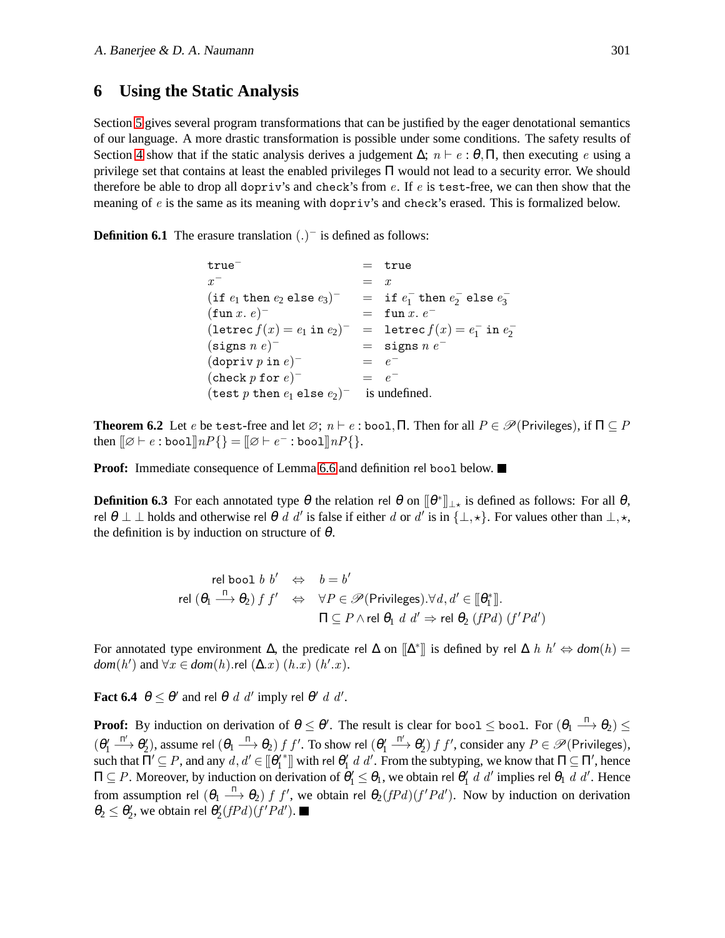### <span id="page-17-0"></span>**6 Using the Static Analysis**

Section [5](#page-12-0) gives several program transformations that can be justified by the eager denotational semantics of our language. A more drastic transformation is possible under some conditions. The safety results of Section [4](#page-7-0) show that if the static analysis derives a judgement  $\Delta$ ;  $n \vdash e : \theta, \Pi$ , then executing e using a privilege set that contains at least the enabled privileges Π would not lead to a security error. We should therefore be able to drop all dopriv's and check's from  $e$ . If  $e$  is test-free, we can then show that the meaning of e is the same as its meaning with dopriv's and check's erased. This is formalized below.

**Definition 6.1** The erasure translation  $(.)^-$  is defined as follows:

| true <sup>-</sup>                                         |           | $=$ true                                 |
|-----------------------------------------------------------|-----------|------------------------------------------|
| $x^{-}$                                                   | $=$ x     |                                          |
| $(if e_1 then e_2 else e_3)^-$                            |           | $=$ if $e_1^-$ then $e_2^-$ else $e_3^-$ |
| $(\texttt{fun}\,x.\,e)^-$                                 |           | $=$ fun x, $e^-$                         |
| $(\texttt{letrec}\, f(x) = e_1 \texttt{ in } e_2)^-$      |           | $=$ letrec $f(x) = e_1^-$ in $e_2^-$     |
| $(\text{signs } n e)^-$                                   |           | $=$ signs $n e^-$                        |
| $(dopriv p in e)^-$                                       | $=$ $e^-$ |                                          |
| $(\text{check } p \text{ for } e)^-$                      | $=$ $e^-$ |                                          |
| $(\texttt{test}~p~\texttt{then}~e_1~\texttt{else}~e_2)^-$ |           | is undefined.                            |

<span id="page-17-1"></span>**Theorem 6.2** Let e be test-free and let  $\emptyset$ ;  $n \vdash e$ : bool, Π. Then for all  $P \in \mathcal{P}$ (Privileges), if  $\Pi \subseteq P$ then  $[\![\varnothing \vdash e : \texttt{bool}]\!] nP\{\} = [\![\varnothing \vdash e^- : \texttt{bool}]\!] nP\{\}.$ 

**Proof:** Immediate consequence of Lemma [6.6](#page-18-0) and definition rel bool below. ■

**Definition 6.3** For each annotated type  $\theta$  the relation rel  $\theta$  on  $[\![\theta^*]\!]_{\perp \star}$  is defined as follows: For all  $\theta$ , rel  $\theta \perp \bot$  holds and otherwise rel  $\theta$  d d' is false if either d or d' is in  $\{\perp, \star\}$ . For values other than  $\perp, \star$ , the definition is by induction on structure of  $\theta$ .

rel bool *b b'* 
$$
\Leftrightarrow
$$
 *b* = *b'*  
rel (θ<sub>1</sub>  $\xrightarrow{\Pi}$  θ<sub>2</sub>) *f f'*  $\Leftrightarrow$  ∀P ∈ *P*(Privileges).∀*d*, *d'* ∈ [θ<sub>1</sub><sup>\*</sup>].  

$$
\Pi \subseteq P \land \text{rel } θ_1 \, d \, d' \Rightarrow \text{rel } θ_2 \, (fPd) \, (f'Pd')
$$

For annotated type environment  $\Delta$ , the predicate rel  $\Delta$  on  $\llbracket \Delta^* \rrbracket$  is defined by rel  $\Delta$  h  $h' \Leftrightarrow dom(h) =$  $dom(h')$  and  $\forall x \in dom(h)$ .rel  $(\Delta.x)$   $(h.x)$   $(h'.x)$ .

<span id="page-17-2"></span>**Fact 6.4**  $\theta \le \theta'$  and rel  $\theta$  d d' imply rel  $\theta'$  d d'.

<span id="page-17-3"></span>**Proof:** By induction on derivation of  $\theta \le \theta'$ . The result is clear for bool  $\le$  bool. For  $(\theta_1 \stackrel{\Pi}{\longrightarrow} \theta_2) \le$  $(\theta_1')$  $\stackrel{\Pi'}{\longrightarrow} \theta'_2$ ), assume rel  $(\theta_1 \stackrel{\Pi}{\longrightarrow} \theta_2) f f'$ . To show rel  $(\theta'_1$  $\xrightarrow{\Pi'} \theta_2'$  f f', consider any  $P \in \mathscr{P}$  (Privileges), such that  $\Pi' \subseteq P$ , and any  $d, d' \in [\![\boldsymbol{\theta}'_1\!]$ \*]] with rel  $\theta'_1$  d d'. From the subtyping, we know that  $\Pi \subseteq \Pi'$ , hence  $\Pi \subseteq P$ . Moreover, by induction on derivation of  $\theta'_1 \leq \theta_1$ , we obtain rel  $\theta'_1$  d d' implies rel  $\theta_1$  d d'. Hence from assumption rel  $(\theta_1 \stackrel{\Pi}{\longrightarrow} \theta_2)$  f f', we obtain rel  $\theta_2(fPd)(f'Pd')$ . Now by induction on derivation  $\theta_2 \leq \theta'_2$ , we obtain rel  $\theta'_2(fPd)(f'Pd')$ .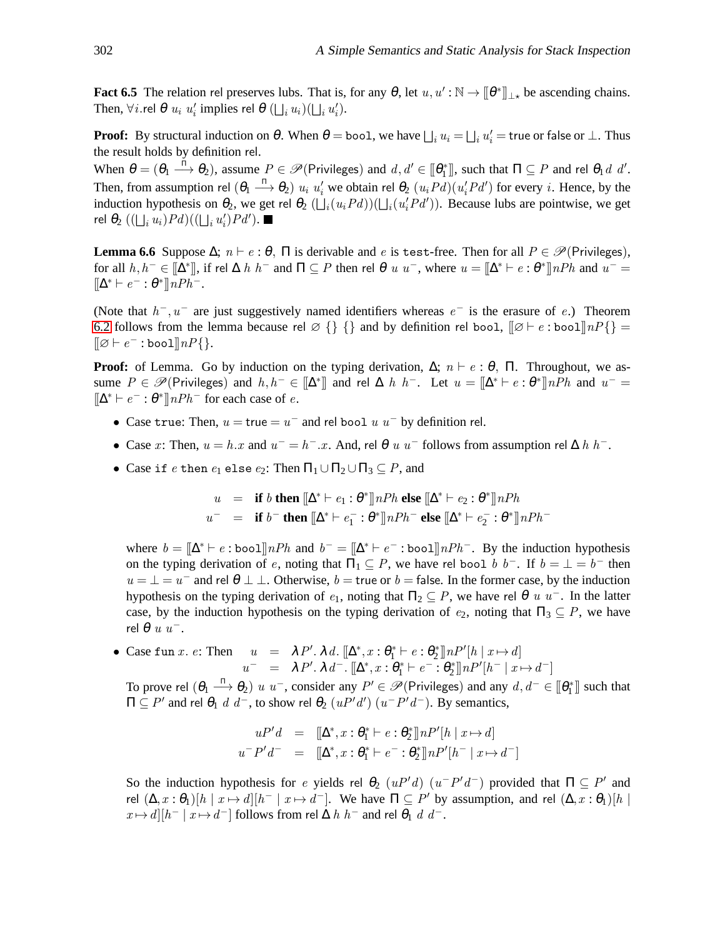**Fact 6.5** The relation rel preserves lubs. That is, for any  $\theta$ , let  $u, u': \mathbb{N} \to [\![\theta^*]\!]_{\perp}$ , be ascending chains. Then,  $\forall i$  rel  $\theta$   $u_i$   $u'_i$  implies rel  $\theta$   $(\bigsqcup_i u_i)(\bigsqcup_i u'_i)$ .

**Proof:** By structural induction on  $\theta$ . When  $\theta =$  bool, we have  $\bigsqcup_i u_i = \bigsqcup_i u_i'$  = true or false or  $\bot$ . Thus the result holds by definition rel.

When  $\theta = (\theta_1 \stackrel{\Pi}{\longrightarrow} \theta_2)$ , assume  $P \in \mathcal{P}$ (Privileges) and  $d, d' \in [\![\theta_1^*]\!]$ , such that  $\Pi \subseteq P$  and rel  $\theta_1 d \ d'$ . Then, from assumption rel  $(\theta_1 \stackrel{\Pi}{\longrightarrow} \theta_2)$   $u_i$   $u'_i$  we obtain rel  $\theta_2$   $(u_iPd)(u'_iPd')$  for every *i*. Hence, by the induction hypothesis on  $\theta_2$ , we get rel  $\theta_2$  ( $\bigcup_i (u_i P d)$ )( $\bigcup_i (u'_i P d')$ ). Because lubs are pointwise, we get rel  $\theta_2$   $((\bigsqcup_i u_i)Pd)((\bigsqcup_i u_i')Pd').$ 

<span id="page-18-0"></span>**Lemma 6.6** Suppose  $\Delta$ ;  $n \vdash e : \theta$ ,  $\Pi$  is derivable and e is test-free. Then for all  $P \in \mathcal{P}$ (Privileges), for all  $h, h^- \in [\![\Delta^*]\!]$ , if rel  $\Delta h$   $h^-$  and  $\Pi \subseteq P$  then rel  $\theta$  u  $u^-$ , where  $u = [\![\Delta^* \vdash e : \theta^*]\!]$  n $Ph$  and  $u^ [\![\Delta^*\vdash e^-:\theta^*]\!] nPh^-$ .

(Note that  $h^-, u^-$  are just suggestively named identifiers whereas  $e^-$  is the erasure of e.) Theorem [6.2](#page-17-1) follows from the lemma because rel  $\emptyset$  {} {} and by definition rel bool,  $\mathbb{I} \emptyset \vdash e$  : bool $\mathbb{I} \{n \}$  =  $[\![\varnothing \vdash e^- : \texttt{bool}]\!] n P \{\}.$ 

**Proof:** of Lemma. Go by induction on the typing derivation,  $\Delta$ ;  $n \vdash e : \theta$ ,  $\Pi$ . Throughout, we assume  $P \in \mathscr{P}(\text{Privileges})$  and  $h, h^- \in [\![\Delta^*]\!]$  and rel  $\Delta h h^-$ . Let  $u = [\![\Delta^* \vdash e : \theta^*]\!] nPh$  and  $u^- =$  $[\![\Delta^*\vdash e^-:\theta^*]\!] nPh^-$  for each case of e.

- Case true: Then,  $u = \text{true} = u^-$  and rel bool  $u$   $u^-$  by definition rel.
- Case x: Then,  $u = h \cdot x$  and  $u^- = h^- \cdot x$ . And, rel  $\theta u u^-$  follows from assumption rel  $\Delta h h^-$ .
- Case if e then  $e_1$  else  $e_2$ : Then  $\Pi_1 \cup \Pi_2 \cup \Pi_3 \subseteq P$ , and

$$
u = \text{if } b \text{ then } [\![\Delta^* \vdash e_1 : \theta^*]\!] \text{ } nPh \text{ else } [\![\Delta^* \vdash e_2 : \theta^*]\!] \text{ } nPh
$$
  

$$
u^- = \text{if } b^- \text{ then } [\![\Delta^* \vdash e_1^- : \theta^*]\!] \text{ } nPh^- \text{ else } [\![\Delta^* \vdash e_2^- : \theta^*]\!] \text{ } nPh^-
$$

where  $b = \|\Delta^* \vdash e : \text{bool}\|nPh$  and  $b^- = \|\Delta^* \vdash e^- : \text{bool}\|nPh^-$ . By the induction hypothesis on the typing derivation of e, noting that  $\Pi_1 \subseteq P$ , we have rel bool b b<sup>-</sup>. If  $b = \bot = b^-$  then  $u = \perp = u^-$  and rel  $\theta \perp \perp$ . Otherwise,  $b = \text{true}$  or  $b = \text{false}$ . In the former case, by the induction hypothesis on the typing derivation of  $e_1$ , noting that  $\Pi_2 \subseteq P$ , we have rel  $\theta$  u u<sup>-</sup>. In the latter case, by the induction hypothesis on the typing derivation of  $e_2$ , noting that  $\Pi_3 \subseteq P$ , we have rel  $\theta$  u  $u^-$ .

• Case fun *x*. *e*: Then  $u = \lambda P' \cdot \lambda d$ .  $[\Delta^*, x : \theta_1^* \vdash e : \theta_2^*] \ln P'[h | x \mapsto d]$  $u^-$  =  $\lambda P'. \lambda d^-$ .  $[\Delta^*, x : \theta_1^* \vdash e^- : \theta_2^*] \ln P'[h^- \mid x \mapsto d^-]$ 

To prove rel  $(\theta_1 \stackrel{\Pi}{\longrightarrow} \theta_2)$  u u<sup>-</sup>, consider any  $P' \in \mathscr{P}$  (Privileges) and any  $d, d^- \in [\![\theta_1^*]\!]$  such that  $\Pi ⊆ P'$  and rel  $θ_1$  *d*  $d^-$ , to show rel  $θ_2$  (*uP'd'*) (*u*<sup>−</sup>*P'd*<sup>−</sup>). By semantics,

$$
uP'd = [\![\Delta^*, x : \theta_1^* \vdash e : \theta_2^*]\!] \cdot nP'[h \mid x \mapsto d]
$$
  

$$
u^-P'd^- = [\![\Delta^*, x : \theta_1^* \vdash e^- : \theta_2^*]\!] \cdot nP'[h^- \mid x \mapsto d^-]
$$

So the induction hypothesis for e yields rel  $\theta_2$   $(uP'd)$   $(u^-P'd^-)$  provided that  $\Pi \subseteq P'$  and rel  $(\Delta, x : \theta_1)[h \mid x \mapsto d][h^- \mid x \mapsto d^-]$ . We have  $\Pi \subseteq P'$  by assumption, and rel  $(\Delta, x : \theta_1)[h \mid x \mapsto d]$  $x \mapsto d\big] [h^- \mid x \mapsto d^- \big]$  follows from rel  $\Delta h \ h^-$  and rel  $\theta_1 \ d \ d^-$ .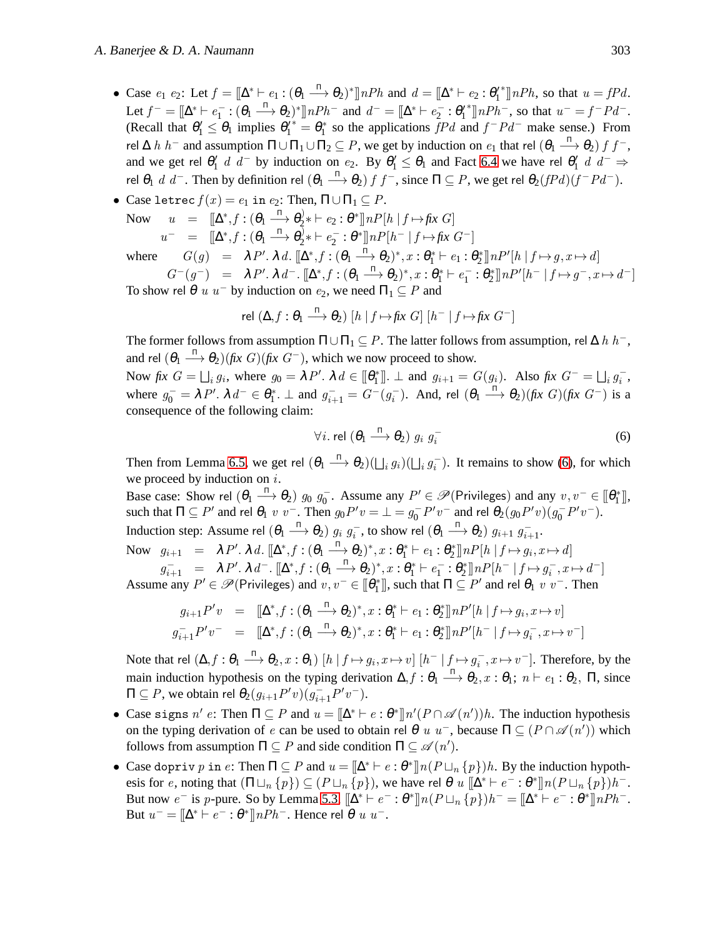• Case  $e_1$   $e_2$ : Let  $f = [\Delta^* \vdash e_1 : (\theta_1 \xrightarrow{\Pi} \theta_2)^*] nPh$  and  $d = [\Delta^* \vdash e_2 : \theta'_1]$ <sup>\*</sup>]]*nPh*, so that  $u = fPd$ . Let  $f^- = [\![\Delta^*\vdash e_1^- : (\theta_1 \stackrel{\Pi}{\longrightarrow} \theta_2)^*]\!] nPh^-$  and  $d^- = [\![\Delta^*\vdash e_2^- : \theta_1'$ <sup>\*</sup>]] $nPh^-$ , so that  $u^- = f^-Pd^-$ . (Recall that  $\theta'_1 \leq \theta_1$  implies  $\theta'^{\dagger}_1 = \theta^*$  so the applications  $\bar{f}Pd$  and  $f^-Pd^-$  make sense.) From rel ∆  $h$   $h^-$  and assumption  $\Pi \cup \Pi_1 \cup \Pi_2 \subseteq P$ , we get by induction on  $e_1$  that rel  $(\theta_1 \stackrel{\Pi}{\longrightarrow} \theta_2)$   $f$   $f^-$ , and we get rel  $\theta'_1$  d d<sup>-</sup> by induction on  $e_2$ . By  $\theta'_1 \le \theta_1$  and Fact [6.4](#page-17-2) we have rel  $\theta'_1$  d d<sup>-</sup>  $\Rightarrow$ rel  $\theta_1$  d d<sup>-</sup>. Then by definition rel  $(\theta_1 \stackrel{\pi}{\longrightarrow} \theta_2)$  f  $f^-$ , since  $\Pi \subseteq P$ , we get rel  $\theta_2(fPd)(f^-Pd^-)$ .

• Case 
$$
\text{letrec } f(x) = e_1
$$
 in  $e_2$ : Then,  $\Pi \cup \Pi_1 \subseteq P$ . Now  $u = [\Delta^*, f : (\theta_1 \xrightarrow{\Pi} \theta_2^*) + e_2 : \theta^*] \ln P[h | f \mapsto f x \ G]$   $u^- = [\Delta^*, f : (\theta_1 \xrightarrow{\Pi} \theta_2^*) + e_2^* : \theta^*] \ln P[h^- | f \mapsto f x \ G^-]$  where  $G(g) = \lambda P' \cdot \lambda d$ .  $[\Delta^*, f : (\theta_1 \xrightarrow{\Pi} \theta_2)^*, x : \theta_1^* \vdash e_1 : \theta_2^*] \ln P'[h | f \mapsto g, x \mapsto d]$   $G^-(g^-) = \lambda P' \cdot \lambda d^- \cdot [\Delta^*, f : (\theta_1 \xrightarrow{\Pi} \theta_2)^*, x : \theta_1^* \vdash e_1^- : \theta_2^*] \ln P'[h^- | f \mapsto g^-, x \mapsto d^-]$ 

To show rel  $\theta$  u u<sup>-</sup> by induction on  $e_2$ , we need  $\Pi_1 \subseteq P$  and

rel 
$$
(\Delta, f : \theta_1 \xrightarrow{\Pi} \theta_2)
$$
  $[h | f \mapsto fix G]$   $[h^- | f \mapsto fix G^-]$ 

The former follows from assumption  $\Pi \cup \Pi_1 \subseteq P$ . The latter follows from assumption, rel  $\Delta h h^-$ , and rel  $(\theta_1 \stackrel{\Pi}{\longrightarrow} \theta_2)$  *(fix G) (fix G<sup>-</sup>)*, which we now proceed to show.

Now fix  $G = \bigsqcup_i g_i$ , where  $g_0 = \lambda P'$ .  $\lambda d \in [\![\theta_1^*]\!]$ .  $\bot$  and  $g_{i+1} = G(g_i)$ . Also fix  $G^- = \bigsqcup_i g_i^-$ , where  $g_0^- = \lambda P'$ .  $\lambda d^- \in \theta_1^*$ .  $\bot$  and  $g_{i+1}^- = G^-(g_i^-)$ . And, rel  $(\theta_1 \stackrel{\Pi}{\longrightarrow} \theta_2)(\text{fix } G)(\text{fix } G^-)$  is a consequence of the following claim:

<span id="page-19-0"></span>
$$
\forall i. \text{ rel } (\theta_1 \xrightarrow{\Pi} \theta_2) \ g_i \ g_i^- \tag{6}
$$

Then from Lemma [6.5,](#page-17-3) we get rel  $(\theta_1 \stackrel{\Pi}{\longrightarrow} \theta_2)(\bigsqcup_i g_i)(\bigsqcup_i g_i^-)$ . It remains to show [\(6\)](#page-19-0), for which we proceed by induction on  $i$ .

Base case: Show rel  $(\theta_1 \stackrel{\Pi}{\longrightarrow} \theta_2)$   $g_0$   $g_0^-$ . Assume any  $P' \in \mathscr{P}$ (Privileges) and any  $v, v^- \in [\![\theta_1^*]\!]$ , such that  $\Pi \subseteq P'$  and rel  $\theta_1$  v v<sup>-</sup>. Then  $g_0P'v = \bot = g_0^-P'v^-$  and rel  $\theta_2(g_0P'v)(g_0^-P'v^-)$ . Induction step: Assume rel  $(\theta_1 \xrightarrow{\Pi} \theta_2) g_i g_i^-,$  to show rel  $(\theta_1 \xrightarrow{\Pi} \theta_2) g_{i+1} g_{i+1}^-.$ Now  $g_{i+1} = \lambda P'. \lambda d. \llbracket \Delta^*, f : (\theta_1 \stackrel{\Pi}{\longrightarrow} \theta_2)^*, x : \theta_1^* \vdash e_1 : \theta_2^* \rrbracket n P[h \mid f \mapsto g_i, x \mapsto d]$ 

 $g_{i+1}^- = \lambda P'. \lambda d^-. [\Delta^*, f : (\theta_1 \stackrel{\pi}{\longrightarrow} \theta_2)^*, x : \theta_1^* \vdash e_1^- : \theta_2^*] \ln P[h^- | f \mapsto g_i^-, x \mapsto d^-]$ Assume any  $P' \in \mathscr{P}$  (Privileges) and  $v, v^- \in [\![\theta^*_1]\!]$ , such that  $\Pi \subseteq P'$  and rel  $\theta_1$  v v<sup>-</sup>. Then

$$
g_{i+1}P'v = [\Delta^*, f : (\theta_1 \xrightarrow{\Pi} \theta_2)^*, x : \theta_1^* \vdash e_1 : \theta_2^*] \ln P'[h | f \mapsto g_i, x \mapsto v]
$$
  

$$
g_{i+1}^{-}P'v^{-} = [\Delta^*, f : (\theta_1 \xrightarrow{\Pi} \theta_2)^*, x : \theta_1^* \vdash e_1 : \theta_2^*] \ln P'[h^{-} | f \mapsto g_i^{-}, x \mapsto v^{-}]
$$

Note that rel  $(\Delta, f : \theta_1 \stackrel{\Pi}{\longrightarrow} \theta_2, x : \theta_1)$   $[h | f \mapsto g_i, x \mapsto v]$   $[h^- | f \mapsto g_i^-, x \mapsto v^-]$ . Therefore, by the main induction hypothesis on the typing derivation  $\Delta, f: \theta_1 \stackrel{\Pi}{\longrightarrow} \theta_2, x: \theta_1; n \vdash e_1: \theta_2$ ,  $\Pi$ , since  $\Pi \subseteq P$ , we obtain rel  $\theta_2(g_{i+1}P'v)(g_{i+1}^-P'v^-)$ .

- Case signs n' e: Then  $\Pi \subseteq P$  and  $u = [\Delta^* \vdash e : \theta^*] \ln'(P \cap \mathscr{A}(n'))h$ . The induction hypothesis on the typing derivation of e can be used to obtain rel  $\theta$  u u<sup>-</sup>, because  $\Pi \subseteq (P \cap \mathscr{A}(n'))$  which follows from assumption  $\Pi \subseteq P$  and side condition  $\Pi \subseteq \mathscr{A}(n')$ .
- Case dopriv p in e: Then  $\Pi \subseteq P$  and  $u = \|\Delta^* \vdash e : \theta^*\|n(P \sqcup_n \{p\})h$ . By the induction hypothesis for e, noting that  $(\Pi \sqcup_n \{p\}) \subseteq (P \sqcup_n \{p\})$ , we have rel  $\theta$  u  $[\Delta^* \vdash e^- : \theta^*] \setminus n(P \sqcup_n \{p\})$ *h*<sup>-</sup>. But now  $e^-$  is p-pure. So by Lemma [5.3,](#page-13-1)  $[\Delta^* \vdash e^- : \theta^*] \ln(P \sqcup_n \{p\}) h^- = [\Delta^* \vdash e^- : \theta^*] \ln Ph^-$ . But  $u^- = [\![ \Delta^* \vdash e^- : \theta^* ]\!] n P h^-$ . Hence rel  $\theta$  u  $u^-$ .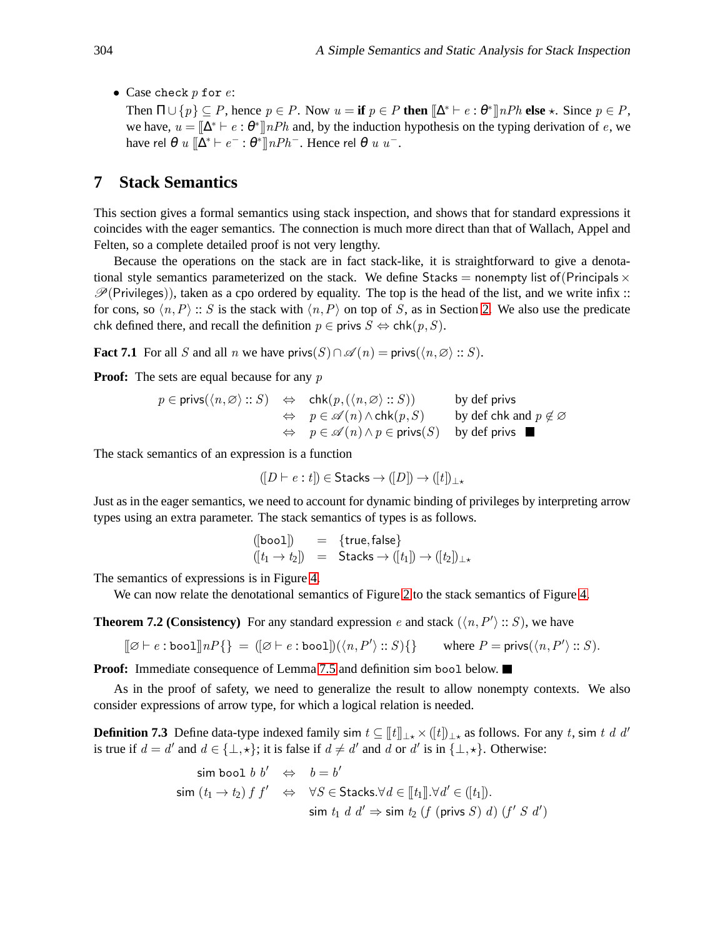• Case check  $p$  for  $e$ :

Then  $\Pi \cup \{p\} \subseteq P$ , hence  $p \in P$ . Now  $u = \textbf{if } p \in P$  then  $[\![\Delta^* \vdash e : \theta^* \!]$  *nPh* else  $\star$ . Since  $p \in P$ , we have,  $u = [\Delta^* \vdash e : \theta^*]$  nPh and, by the induction hypothesis on the typing derivation of e, we have rel  $\theta$  u  $[\![\Delta^*\vdash e^-:\theta^*]\!] nPh^-$ . Hence rel  $\theta$  u u<sup>-</sup>.

### <span id="page-20-0"></span>**7 Stack Semantics**

This section gives a formal semantics using stack inspection, and shows that for standard expressions it coincides with the eager semantics. The connection is much more direct than that of Wallach, Appel and Felten, so a complete detailed proof is not very lengthy.

Because the operations on the stack are in fact stack-like, it is straightforward to give a denotational style semantics parameterized on the stack. We define Stacks = nonempty list of (Principals  $\times$  $\mathcal{P}(\text{Privileges})$ , taken as a cpo ordered by equality. The top is the head of the list, and we write infix :: for cons, so  $\langle n,P \rangle$  :: S is the stack with  $\langle n,P \rangle$  on top of S, as in Section [2.](#page-2-2) We also use the predicate chk defined there, and recall the definition  $p \in \text{privs } S \Leftrightarrow \text{chk}(p, S)$ .

<span id="page-20-2"></span>**Fact 7.1** For all S and all n we have privs $(S) \cap \mathscr{A}(n) = \text{privs}(\langle n, \emptyset \rangle :: S)$ .

**Proof:** The sets are equal because for any p

$$
p \in \text{privs}(\langle n, \varnothing \rangle :: S) \quad \Leftrightarrow \quad \text{chk}(p, (\langle n, \varnothing \rangle :: S)) \qquad \qquad \text{by def~privs}
$$
\n
$$
\Leftrightarrow \quad p \in \mathscr{A}(n) \land \text{chk}(p, S) \qquad \qquad \text{by def chk and } p \notin \varnothing
$$
\n
$$
\Leftrightarrow \quad p \in \mathscr{A}(n) \land p \in \text{privs}(S) \qquad \text{by def~privs} \quad \blacksquare
$$

The stack semantics of an expression is a function

$$
([D \vdash e : t]) \in \text{Stacks} \to ([D]) \to ([t])_{\perp \star}
$$

Just as in the eager semantics, we need to account for dynamic binding of privileges by interpreting arrow types using an extra parameter. The stack semantics of types is as follows.

<span id="page-20-1"></span>
$$
\begin{array}{lll} ([\text{bool}])&=&\{\text{true},\text{false}\} \\ ([t_1\rightarrow t_2])&=&\text{Stacks}\rightarrow ([t_1])\rightarrow ([t_2])_{\perp \star}\end{array}
$$

The semantics of expressions is in Figure [4.](#page-21-0)

We can now relate the denotational semantics of Figure [2](#page-7-1) to the stack semantics of Figure [4.](#page-21-0)

**Theorem 7.2 (Consistency)** For any standard expression e and stack  $(\langle n, P' \rangle :: S)$ , we have

$$
[\![\varnothing \vdash e:\texttt{bool}]\!] n P \{\} \ = \ ([\varnothing \vdash e:\texttt{bool}]) (\langle n,P' \rangle::S) \{\} \qquad \text{where } P = \textsf{privs}(\langle n,P' \rangle::S).
$$

**Proof:** Immediate consequence of Lemma [7.5](#page-21-1) and definition sim bool below.

As in the proof of safety, we need to generalize the result to allow nonempty contexts. We also consider expressions of arrow type, for which a logical relation is needed.

**Definition 7.3** Define data-type indexed family sim  $t \subseteq [t]_{\perp \star} \times (t]_{\perp \star}$  as follows. For any t, sim t d d' is true if  $d = d'$  and  $d \in \{\perp, \star\}$ ; it is false if  $d \neq d'$  and d or d' is in  $\{\perp, \star\}$ . Otherwise:

$$
\begin{aligned}\n\text{sim } \text{bool } b \, b' &\Leftrightarrow \, b = b' \\
\text{sim } (t_1 \rightarrow t_2) \, f \, f' &\Leftrightarrow \, \forall S \in \text{Stacks.} \forall d \in [[t_1]] \, \forall d' \in ([t_1]). \\
&\text{sim } t_1 \, d \, d' \Rightarrow \text{sim } t_2 \, (f \, (\text{privs } S) \, d) \, (f' \, S \, d')\n\end{aligned}
$$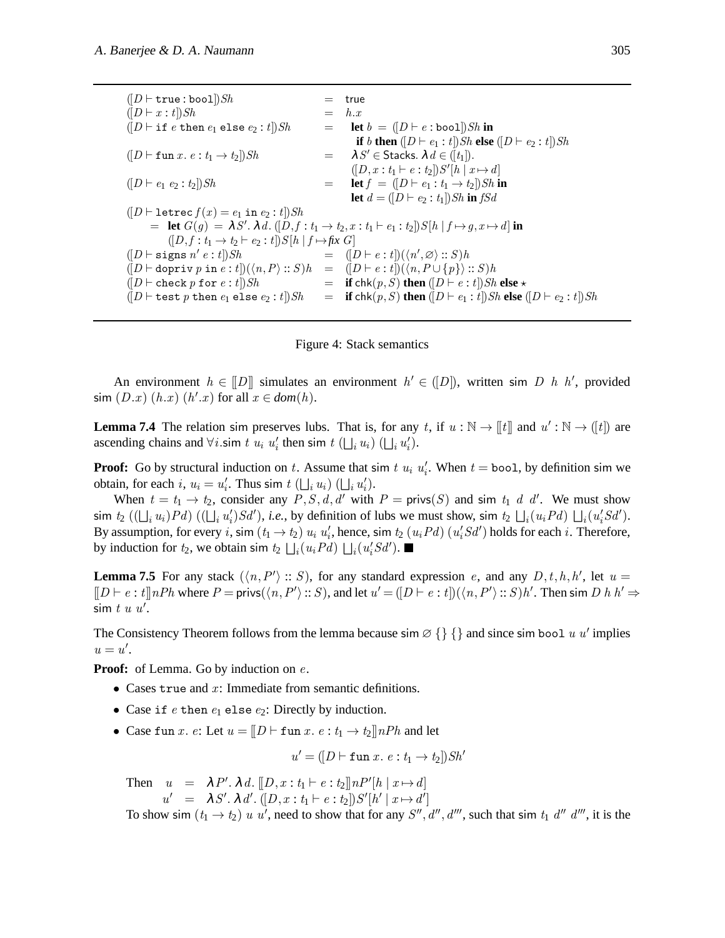$([D \vdash \texttt{true} : \texttt{bool}])Sh$  = true  $([D \vdash x : t]) Sh$  = h.x  $([D \vdash \text{if } e \text{ then } e_1 \text{ else } e_2 : t])Sh$  = **let**  $b = ([D \vdash e : \text{bool}])Sh$  in **if** b **then**  $([D \vdash e_1 : t])Sh$  **else**  $([D \vdash e_2 : t])Sh$  $([D \vdash \texttt{fun} x. e: t_1 \rightarrow t_2]) Sh$  $=$   $\lambda S' \in$  Stacks.  $\lambda d \in (\lbrack t_1 \rbrack).$  $([D, x : t_1 \vdash e : t_2]) S'[h \mid x \mapsto d]$  $([D \vdash e_1 \ e_2 : t_2]) Sh$  = **let**  $f = ([D \vdash e_1 : t_1 \to t_2]) Sh$  **in let**  $d = ( [D ⊢ e_2 : t_1 ] ) Sh$  **in** fSd  $([D \vdash \texttt{letrec } f(x) = e_1 \texttt{ in } e_2 : t]) Sh$  $=$  **let**  $G(g) = λS'$ .  $λ d$ .  $([D, f : t<sub>1</sub> → t<sub>2</sub>, x : t<sub>1</sub> ⊢ e<sub>1</sub> : t<sub>2</sub>]) S[h | f → g, x → d]$  **in**  $([D, f: t_1 \rightarrow t_2 \vdash e_2 : t]) S[h | f \mapsto fix G]$  $([D \vdash \texttt{signs} \; n']$  $e : t]$ )Sh  $= ([D \vdash e : t])(\langle n', \varnothing \rangle :: S)$ h  $([D \vdash \text{dopriv } p \text{ in } e : t])(\langle n, P \rangle :: S)h = ([D \vdash e : t])(\langle n, P \cup \{p\} \rangle :: S)h$  $([D \vdash \text{check } p \text{ for } e : t])Sh$  = **if**  $\text{chk}(p, S)$  **then**  $([D \vdash e : t])Sh$  **else**  $\star$  $([D \vdash \texttt{test}\ p\ \texttt{then}\ e_1\ \texttt{else}\ e_2: t])Sh = \textbf{if}\ \texttt{chk}(p, S)\ \textbf{then}\ ([D \vdash e_1: t])Sh \ \textbf{else}\ ([D \vdash e_2: t])Sh$ 

<span id="page-21-0"></span>

<span id="page-21-2"></span>An environment  $h \in [D]$  simulates an environment  $h' \in (D]$ , written sim D h h', provided  $\sin (D \cdot x) (h \cdot x) (h' \cdot x)$  for all  $x \in dom(h)$ .

**Lemma 7.4** The relation sim preserves lubs. That is, for any t, if  $u : \mathbb{N} \to [\![t]\!]$  and  $u' : \mathbb{N} \to ([t])$  are ascending chains and  $\forall i$  sim t  $u_i$   $u'_i$  then sim t  $(\bigsqcup_i u_i)$   $(\bigsqcup_i u'_i)$ .

**Proof:** Go by structural induction on t. Assume that sim  $t$   $u_i$   $u'_i$ . When  $t = \text{bool}$ , by definition sim we obtain, for each i,  $u_i = u'_i$ . Thus sim  $t \left( \bigcup_i u_i \right) \left( \bigcup_i u'_i \right)$ .

When  $t = t_1 \rightarrow t_2$ , consider any  $P, S, d, d'$  with  $P = \text{privs}(S)$  and sim  $t_1 d d'$ . We must show  $\lim t_2 ((\bigcup_i u_i) Pd) ((\bigcup_i u'_i) Sd'), i.e., \text{ by definition of lubs we must show, } \lim t_2 (\bigcup_i (u_i Pd) (\bigcup_i (u'_i Sd').$ By assumption, for every i, sim  $(t_1 \to t_2)$   $u_i$   $u'_i$ , hence, sim  $t_2$   $(u_i Pd)$   $(u'_i Sd')$  holds for each i. Therefore, by induction for  $t_2$ , we obtain sim  $t_2 \bigsqcup_i (u_i P d) \bigsqcup_i (u'_i S d').$ 

<span id="page-21-1"></span>**Lemma 7.5** For any stack  $(\langle n, P' \rangle :: S)$ , for any standard expression e, and any  $D, t, h, h'$ , let  $u =$  $[[D \vdash e : t]]nPh$  where  $P = \text{privs}(\langle n, P' \rangle :: S)$ , and let  $u' = ([D \vdash e : t])(\langle n, P' \rangle :: S)h'$ . Then sim  $D h h' \Rightarrow$  $\sin t u u'$ .

The Consistency Theorem follows from the lemma because sim  $\emptyset$  { } and since sim bool u u' implies  $u = u'.$ 

**Proof:** of Lemma. Go by induction on *e*.

- Cases true and  $x$ : Immediate from semantic definitions.
- Case if  $e$  then  $e_1$  else  $e_2$ : Directly by induction.
- Case fun x. e: Let  $u = [D \vdash$  fun x.  $e : t_1 \rightarrow t_2] \uplus nPh$  and let

$$
u' = ([D \vdash \texttt{fun } x. e : t_1 \to t_2]) \mathit{Sh}'
$$

Then  $u = \lambda P'. \lambda d. \llbracket D, x : t_1 \vdash e : t_2 \rrbracket n P' [h \mid x \mapsto d]$  $u' = \lambda S'. \lambda d'. ([D, x : t_1 \vdash e : t_2]) S'[h' \mid x \mapsto d']$ 

To show sim  $(t_1 \to t_2)$  u u', need to show that for any  $S''$ ,  $d''$ ,  $d'''$ , such that sim  $t_1$   $d''$   $d'''$ , it is the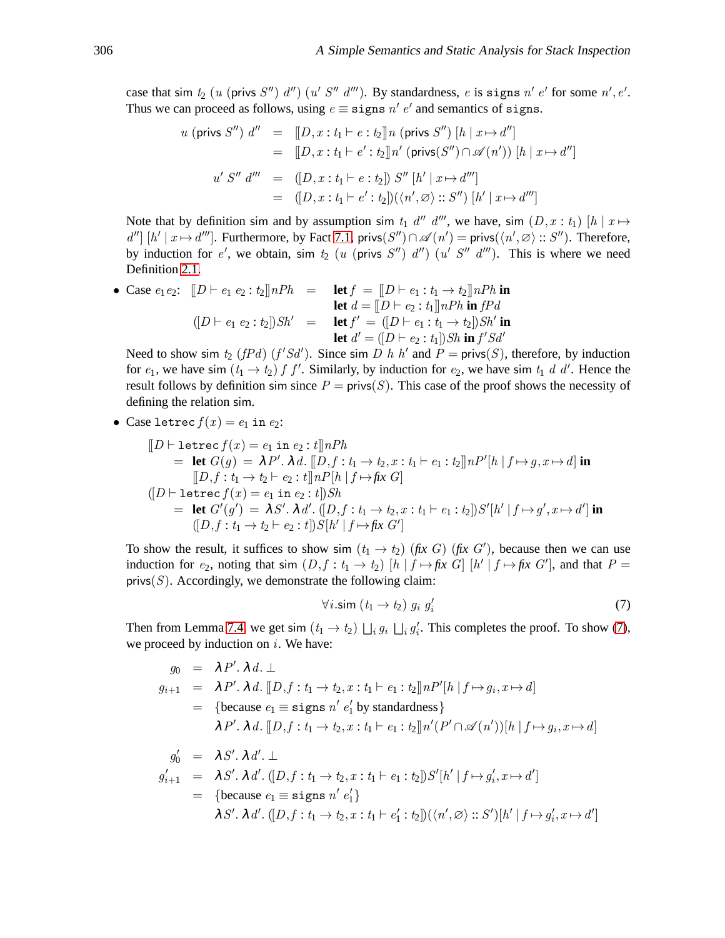case that sim  $t_2$  (u (privs S'') d'') (u' S'' d'''). By standardness, e is signs n' e' for some n', e'. Thus we can proceed as follows, using  $e \equiv$  signs  $n' e'$  and semantics of signs.

$$
u \text{ (privs } S'') d'' = [D, x : t_1 \vdash e : t_2] \text{ } n \text{ (privs } S'') [h | x \mapsto d'']
$$
  
\n
$$
= [D, x : t_1 \vdash e' : t_2] \text{ } n' \text{ (privs}(S'') \cap \mathscr{A}(n')) [h | x \mapsto d'']
$$
  
\n
$$
u' S'' d''' = ([D, x : t_1 \vdash e : t_2]) S'' [h' | x \mapsto d''']
$$
  
\n
$$
= ([D, x : t_1 \vdash e' : t_2]) (\langle n', \varnothing \rangle :: S'') [h' | x \mapsto d''']
$$

Note that by definition sim and by assumption sim  $t_1$  d'' d''', we have, sim  $(D, x : t_1)$  [h |  $x \mapsto$  $d''$  [h' |  $x \mapsto d'''$ ]. Furthermore, by Fact [7.1,](#page-20-2) privs( $S''$ )  $\cap \mathscr{A}(n') = \text{privs}(\langle n', \varnothing \rangle :: S'')$ . Therefore, by induction for e', we obtain, sim  $t_2$  (u (privs  $S''$ )  $d''$ ) (u'  $S''$   $d'''$ ). This is where we need Definition [2.1.](#page-4-1)

• Case 
$$
e_1 e_2
$$
:  $[D \vdash e_1 e_2 : t_2] \cap Ph = \text{let } f = [[D \vdash e_1 : t_1 \rightarrow t_2] \cap Ph \text{ in } \text{let } d = [[D \vdash e_2 : t_1]] \cap Ph \text{ in } f \text{ and } f = [[D \vdash e_2 : t_1]] \cap Ph \text{ in } f \text{ and } f = [[D \vdash e_1 : t_1 \rightarrow t_2]] \text{ Sh}' \text{ in } \text{let } d' = ([D \vdash e_2 : t_1]] \text{Sh} \text{ in } f' \text{ Sal}'$ 

Need to show sim  $t_2$  ( $fPd$ ) ( $f'Sd'$ ). Since sim D h h' and  $P = \text{priv}(S)$ , therefore, by induction for  $e_1$ , we have sim  $(t_1 \rightarrow t_2)$  f f'. Similarly, by induction for  $e_2$ , we have sim  $t_1$  d d'. Hence the result follows by definition sim since  $P = \text{privs}(S)$ . This case of the proof shows the necessity of defining the relation sim.

• Case 
$$
\text{letrec } f(x) = e_1 \text{ in } e_2
$$
:

$$
[D \vdash \text{letrec } f(x) = e_1 \text{ in } e_2 : t] \text{ } nPh
$$
\n= let  $G(g) = \lambda P' \cdot \lambda d$ .  $[D, f : t_1 \to t_2, x : t_1 \vdash e_1 : t_2] \text{ } nP'[h | f \mapsto g, x \mapsto d]$  in  
\n
$$
[D, f : t_1 \to t_2 \vdash e_2 : t] \text{ } nP[h | f \mapsto fix G]
$$
\n
$$
([D \vdash \text{letrec } f(x) = e_1 \text{ in } e_2 : t]) Sh
$$
\n= let  $G'(g') = \lambda S' \cdot \lambda d'$ .  $(D, f : t_1 \to t_2, x : t_1 \vdash e_1 : t_2] S'[h' | f \mapsto g', x \mapsto d']$  in  
\n
$$
(D, f : t_1 \to t_2 \vdash e_2 : t]) S[h' | f \mapsto fix G']
$$

To show the result, it suffices to show sim  $(t_1 \rightarrow t_2)$  (*fix G*) (*fix G'*), because then we can use induction for  $e_2$ , noting that sim  $(D, f : t_1 \to t_2)$   $[h | f \mapsto f x G]$   $[h' | f \mapsto f x G']$ , and that  $P =$ privs $(S)$ . Accordingly, we demonstrate the following claim:

<span id="page-22-0"></span>
$$
\forall i.\mathsf{sim}\ (t_1 \to t_2)\ g_i\ g'_i \tag{7}
$$

Then from Lemma [7.4,](#page-21-2) we get sim  $(t_1 \rightarrow t_2) \bigsqcup_i g_i \bigsqcup_i g'_i$ . This completes the proof. To show [\(7\)](#page-22-0), we proceed by induction on  $i$ . We have:

$$
g_0 = \lambda P'. \lambda d. \perp
$$
  
\n
$$
g_{i+1} = \lambda P'. \lambda d. [D, f : t_1 \rightarrow t_2, x : t_1 \vdash e_1 : t_2] \ln P'[h | f \mapsto g_i, x \mapsto d]
$$
  
\n
$$
= \{\text{because } e_1 \equiv \text{signs } n' e'_1 \text{ by standardness}\}
$$
  
\n
$$
\lambda P'. \lambda d. [D, f : t_1 \rightarrow t_2, x : t_1 \vdash e_1 : t_2] \ln'(P' \cap \mathscr{A}(n'))[h | f \mapsto g_i, x \mapsto d]
$$
  
\n
$$
g'_0 = \lambda S'. \lambda d'. \perp
$$
  
\n
$$
g'_{i+1} = \lambda S'. \lambda d'. ([D, f : t_1 \rightarrow t_2, x : t_1 \vdash e_1 : t_2]) S'[h' | f \mapsto g'_i, x \mapsto d']
$$

$$
= \{\text{because } e_1 \equiv \text{siggs } n' e_1' \}
$$
  

$$
\lambda S'. \lambda d'. ([D, f : t_1 \rightarrow t_2, x : t_1 \vdash e_1' : t_2]) (\langle n', \varnothing \rangle :: S')[h' | f \mapsto g_i', x \mapsto d']
$$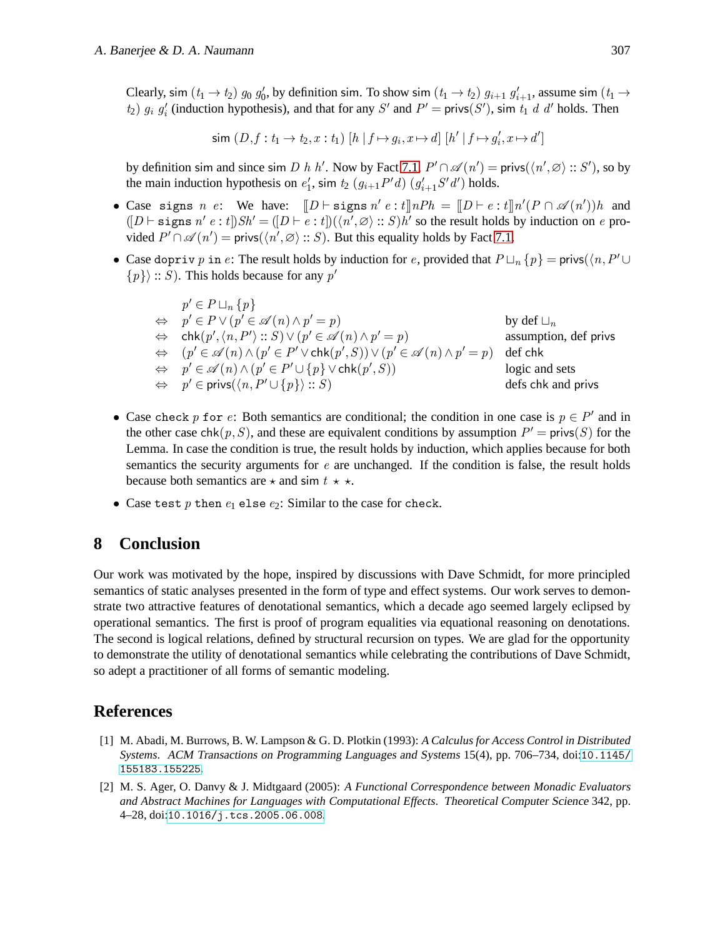Clearly, sim  $(t_1 \to t_2)$   $g_0$   $g'_0$ , by definition sim. To show sim  $(t_1 \to t_2)$   $g_{i+1}$   $g'_{i+1}$ , assume sim  $(t_1 \to t_2)$  $t_2$ )  $g_i$   $g'_i$  (induction hypothesis), and that for any S' and P' = privs(S'), sim  $t_1$  d d' holds. Then

$$
\mathsf{sim}\ (D, f: t_1 \to t_2, x: t_1) \ [h \ | \ f \mapsto g_i, x \mapsto d] \ [h' \ | \ f \mapsto g_i', x \mapsto d']
$$

by definition sim and since sim D h h'. Now by Fact [7.1,](#page-20-2)  $P' \cap \mathscr{A}(n') = \text{privs}(\langle n', \varnothing \rangle :: S')$ , so by the main induction hypothesis on  $e'_1$ , sim  $t_2$   $(g_{i+1}P'd)$   $(g'_{i+1}S'd')$  holds.

- Case signs n e: We have:  $[[D \vdash \text{signs } n' e : t]] nPh = [[D \vdash e : t]] n'(P \cap \mathscr{A}(n'))h$  and  $([D \vdash \texttt{signs} \; n' \; e : t]) \cdot Sh' = ([D \vdash e : t]) (\langle n', \varnothing \rangle :: S) \cdot h'$  so the result holds by induction on e provided  $P' \cap \mathscr{A}(n') = \text{privs}(\langle n', \varnothing \rangle :: S)$ . But this equality holds by Fact [7.1.](#page-20-2)
- Case dopriv p in e: The result holds by induction for e, provided that  $P \sqcup_n \{p\} = \text{privs}(\langle n, P' \cup \mathcal{P} \rangle)$  $\{p\}$ : S). This holds because for any p'

$$
p' \in P \sqcup_n \{p\}
$$
  
\n
$$
\Leftrightarrow p' \in P \lor (p' \in \mathcal{A}(n) \land p' = p)
$$
  
\n
$$
\Leftrightarrow chk(p', \langle n, P' \rangle :: S) \lor (p' \in \mathcal{A}(n) \land p' = p)
$$
  
\n
$$
\Leftrightarrow (p' \in \mathcal{A}(n) \land (p' \in P' \lor chk(p', S)) \lor (p' \in \mathcal{A}(n) \land p' = p)
$$
  
\n
$$
\Leftrightarrow p' \in \mathcal{A}(n) \land (p' \in P' \cup \{p\} \lor chk(p', S))
$$
  
\n
$$
\Leftrightarrow p' \in \text{privs}(\langle n, P' \cup \{p\} \rangle :: S)
$$
  
\n
$$
\Leftrightarrow \text{else } chk \text{ and privs}
$$

- Case check p for e: Both semantics are conditional; the condition in one case is  $p \in P'$  and in the other case chk $(p, S)$ , and these are equivalent conditions by assumption  $P' = \text{priv}(S)$  for the Lemma. In case the condition is true, the result holds by induction, which applies because for both semantics the security arguments for  $e$  are unchanged. If the condition is false, the result holds because both semantics are  $\star$  and sim  $t \star \star$ .
- Case test p then  $e_1$  else  $e_2$ : Similar to the case for check.

# <span id="page-23-2"></span>**8 Conclusion**

Our work was motivated by the hope, inspired by discussions with Dave Schmidt, for more principled semantics of static analyses presented in the form of type and effect systems. Our work serves to demonstrate two attractive features of denotational semantics, which a decade ago seemed largely eclipsed by operational semantics. The first is proof of program equalities via equational reasoning on denotations. The second is logical relations, defined by structural recursion on types. We are glad for the opportunity to demonstrate the utility of denotational semantics while celebrating the contributions of Dave Schmidt, so adept a practitioner of all forms of semantic modeling.

### **References**

- <span id="page-23-0"></span>[1] M. Abadi, M. Burrows, B. W. Lampson & G. D. Plotkin (1993): *A Calculus for Access Control in Distributed Systems*. ACM Transactions on Programming Languages and Systems 15(4), pp. 706–734, doi:[10.1145/](http://dx.doi.org/10.1145/155183.155225) [155183.155225](http://dx.doi.org/10.1145/155183.155225).
- <span id="page-23-1"></span>[2] M. S. Ager, O. Danvy & J. Midtgaard (2005): *A Functional Correspondence between Monadic Evaluators and Abstract Machines for Languages with Computational Effects*. Theoretical Computer Science 342, pp. 4–28, doi:[10.1016/j.tcs.2005.06.008](http://dx.doi.org/10.1016/j.tcs.2005.06.008).